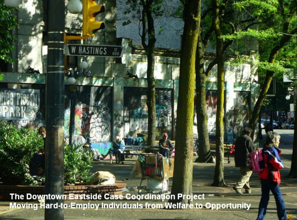The Downtown Eastside Case Coordination Project Moving Hard-to-Employ Individuals from Welfare to Opportunity

of sweets to

 $\frac{57}{000}$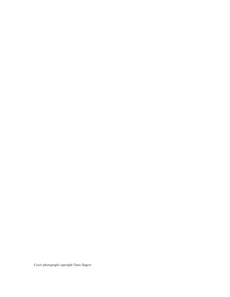*Cover photograph copyright Tanis Dagert.*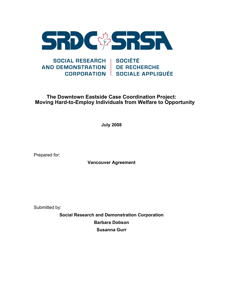

#### SOCIAL RESEARCH | SOCIÉTÉ **AND DEMONSTRATION DE RECHERCHE** CORPORATION SOCIALE APPLIQUÉE

### **The Downtown Eastside Case Coordination Project: Moving Hard-to-Employ Individuals from Welfare to Opportunity**

**July 2008** 

Prepared for:

**Vancouver Agreement** 

Submitted by:

**Social Research and Demonstration Corporation Barbara Dobson Susanna Gurr**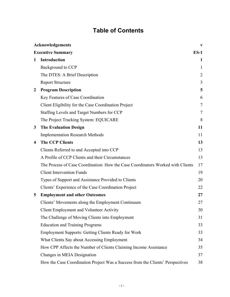# **Table of Contents**

|                         | Acknowledgements                                                                | V              |
|-------------------------|---------------------------------------------------------------------------------|----------------|
|                         | <b>Executive Summary</b>                                                        | $ES-1$         |
| $\mathbf 1$             | Introduction                                                                    | 1              |
|                         | Background to CCP                                                               | 1              |
|                         | The DTES: A Brief Description                                                   | $\overline{2}$ |
|                         | <b>Report Structure</b>                                                         | 3              |
| $\mathbf{2}$            | <b>Program Description</b>                                                      | 5              |
|                         | Key Features of Case Coordination                                               | 6              |
|                         | Client Eligibility for the Case Coordination Project                            | 7              |
|                         | Staffing Levels and Target Numbers for CCP                                      | 7              |
|                         | The Project Tracking System: EQUICARE                                           | 8              |
| 3                       | <b>The Evaluation Design</b>                                                    | 11             |
|                         | <b>Implementation Research Methods</b>                                          | 11             |
| $\overline{\mathbf{4}}$ | <b>The CCP Clients</b>                                                          | 13             |
|                         | Clients Referred to and Accepted into CCP                                       | 13             |
|                         | A Profile of CCP Clients and their Circumstances                                | 13             |
|                         | The Process of Case Coordination: How the Case Coordinators Worked with Clients | 17             |
|                         | <b>Client Intervention Funds</b>                                                | 19             |
|                         | Types of Support and Assistance Provided to Clients                             | 20             |
|                         | Clients' Experience of the Case Coordination Project                            | 22             |
| 5                       | <b>Employment and other Outcomes</b>                                            | 27             |
|                         | Clients' Movements along the Employment Continuum                               | 27             |
|                         | Client Employment and Volunteer Activity                                        | 30             |
|                         | The Challenge of Moving Clients into Employment                                 | 31             |
|                         | <b>Education and Training Programs</b>                                          | 33             |
|                         | <b>Employment Supports: Getting Clients Ready for Work</b>                      | 33             |
|                         | What Clients Say about Accessing Employment                                     | 34             |
|                         | How CPP Affects the Number of Clients Claiming Income Assistance                | 35             |
|                         | Changes in MEIA Designation                                                     | 37             |
|                         | How the Case Coordination Project Was a Success from the Clients' Perspectives  | 38             |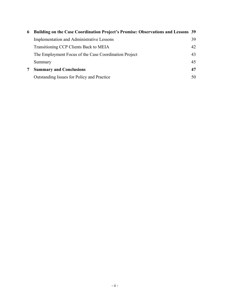| 6 | Building on the Case Coordination Project's Promise: Observations and Lessons 39 |    |
|---|----------------------------------------------------------------------------------|----|
|   | <b>Implementation and Administrative Lessons</b>                                 | 39 |
|   | Transitioning CCP Clients Back to MEIA                                           | 42 |
|   | The Employment Focus of the Case Coordination Project                            | 43 |
|   | Summary                                                                          | 45 |
|   | <b>Summary and Conclusions</b>                                                   | 47 |
|   | Outstanding Issues for Policy and Practice                                       | 50 |
|   |                                                                                  |    |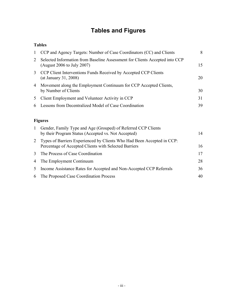# **Tables and Figures**

### **Tables**

| $\mathbf{1}$ | CCP and Agency Targets: Number of Case Coordinators (CC) and Clients                                                            | 8  |
|--------------|---------------------------------------------------------------------------------------------------------------------------------|----|
| 2            | Selected Information from Baseline Assessment for Clients Accepted into CCP<br>(August 2006 to July 2007)                       | 15 |
| 3            | CCP Client Interventions Funds Received by Accepted CCP Clients<br>(at January 31, 2008)                                        | 20 |
| 4            | Movement along the Employment Continuum for CCP Accepted Clients,<br>by Number of Clients                                       | 30 |
| 5            | Client Employment and Volunteer Activity in CCP                                                                                 | 31 |
| 6            | Lessons from Decentralized Model of Case Coordination                                                                           | 39 |
|              | <b>Figures</b>                                                                                                                  |    |
| 1            | Gender, Family Type and Age (Grouped) of Referred CCP Clients<br>by their Program Status (Accepted vs. Not Accepted)            | 14 |
| 2            | Types of Barriers Experienced by Clients Who Had Been Accepted in CCP:<br>Percentage of Accepted Clients with Selected Barriers | 16 |
| 3            | The Process of Case Coordination                                                                                                | 17 |
| 4            | The Employment Continuum                                                                                                        | 28 |

5 Income Assistance Rates for Accepted and Non-Accepted CCP Referrals 36 6 The Proposed Case Coordination Process 40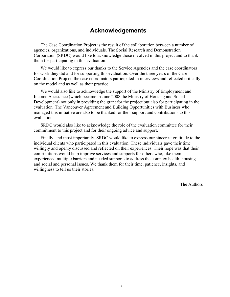## **Acknowledgements**

The Case Coordination Project is the result of the collaboration between a number of agencies, organizations, and individuals. The Social Research and Demonstration Corporation (SRDC) would like to acknowledge those involved in this project and to thank them for participating in this evaluation.

We would like to express our thanks to the Service Agencies and the case coordinators for work they did and for supporting this evaluation. Over the three years of the Case Coordination Project, the case coordinators participated in interviews and reflected critically on the model and as well as their practice.

We would also like to acknowledge the support of the Ministry of Employment and Income Assistance (which became in June 2008 the Ministry of Housing and Social Development) not only in providing the grant for the project but also for participating in the evaluation. The Vancouver Agreement and Building Opportunities with Business who managed this initiative are also to be thanked for their support and contributions to this evaluation.

SRDC would also like to acknowledge the role of the evaluation committee for their commitment to this project and for their ongoing advice and support.

Finally, and most importantly, SRDC would like to express our sincerest gratitude to the individual clients who participated in this evaluation. These individuals gave their time willingly and openly discussed and reflected on their experiences. Their hope was that their contributions would help improve services and supports for others who, like them, experienced multiple barriers and needed supports to address the complex health, housing and social and personal issues. We thank them for their time, patience, insights, and willingness to tell us their stories.

The Authors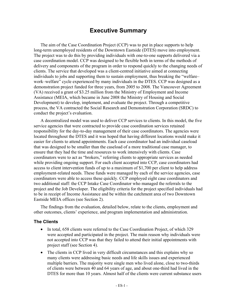## **Executive Summary**

The aim of the Case Coordination Project (CCP) was to put in place supports to help long-term unemployed residents of the Downtown Eastside (DTES) move into employment. The project was to do this by providing individuals with one-to-one supports delivered via a case coordination model. CCP was designed to be flexible both in terms of the methods of delivery and components of the program in order to respond quickly to the changing needs of clients. The service that developed was a client-centred initiative aimed at connecting individuals to jobs and supporting them to sustain employment, thus breaking the "welfare– work–welfare" cycle experienced by many individuals in the DTES. CCP was designed as a demonstration project funded for three years, from 2005 to 2008. The Vancouver Agreement (VA) received a grant of \$3.25 million from the Ministry of Employment and Income Assistance (MEIA, which became in June 2008 the Ministry of Housing and Social Development) to develop, implement, and evaluate the project. Through a competitive process, the VA contracted the Social Research and Demonstration Corporation (SRDC) to conduct the project's evaluation.

A decentralized model was used to deliver CCP services to clients. In this model, the five service agencies that were contracted to provide case coordination services retained responsibility for the day-to-day management of their case coordinators. The agencies were located throughout the DTES and it was hoped that having different locations would make it easier for clients to attend appointments. Each case coordinator had an individual caseload that was designed to be smaller than the caseload of a more traditional case manager, to ensure that they had the time and resources to work intensively with clients. Case coordinators were to act as "brokers," referring clients to appropriate services as needed while providing ongoing support. For each client accepted into CCP, case coordinators had access to client intervention funds of up to a maximum of \$1,700 per client to help address employment-related needs. These funds were managed by each of the service agencies, case coordinators were able to access these quickly. CCP employed eight case coordinators and two additional staff: the CCP Intake Case Coordinator who managed the referrals to the project and the Job Developer. The eligibility criteria for the project specified individuals had to be in receipt of Income Assistance and be within the catchment area of two Downtown Eastside MEIA offices (see Section 2).

The findings from the evaluation, detailed below, relate to the clients, employment and other outcomes, clients' experience, and program implementation and administration.

#### **The Clients**

- In total, 658 clients were referred to the Case Coordination Project, of which 329 were accepted and participated in the project. The main reason why individuals were not accepted into CCP was that they failed to attend their initial appointments with project staff (see Section 4).
- The clients in CCP lived in very difficult circumstances and this explains why so many clients were addressing basic needs and life skills issues and experienced multiple barriers. The majority were single men who lived alone, close to two-thirds of clients were between 40 and 64 years of age, and about one-third had lived in the DTES for more than 10 years. Almost half of the clients were current substance users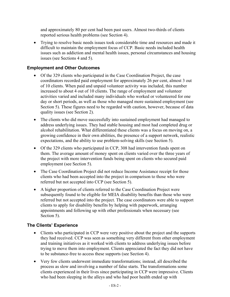and approximately 80 per cent had been past users. Almost two-thirds of clients reported serious health problems (see Section 4).

• Trying to resolve basic needs issues took considerable time and resources and made it difficult to maintain the employment focus of CCP. Basic needs included health issues such as addiction and mental health issues, personal circumstances and housing issues (see Sections 4 and 5).

### **Employment and Other Outcomes**

- Of the 329 clients who participated in the Case Coordination Project, the case coordinators recorded paid employment for approximately 26 per cent, almost 3 out of 10 clients. When paid and unpaid volunteer activity was included, this number increased to about 4 out of 10 clients. The range of employment and volunteer activities varied and included many individuals who worked or volunteered for one day or short periods, as well as those who managed more sustained employment (see Section 5). These figures need to be regarded with caution, however, because of data quality issues (see Section 2).
- The clients who did move successfully into sustained employment had managed to address underlying issues. They had stable housing and most had completed drug or alcohol rehabilitation. What differentiated these clients was a focus on moving on, a growing confidence in their own abilities, the presence of a support network, realistic expectations, and the ability to use problem-solving skills (see Section 5).
- Of the 329 clients who participated in CCP, 308 had intervention funds spent on them. The average amount of money spent on clients varied over the three years of the project with more intervention funds being spent on clients who secured paid employment (see Section 5).
- The Case Coordination Project did not reduce Income Assistance receipt for those clients who had been accepted into the project in comparison to those who were referred but not accepted into CCP (see Section 5).
- A higher proportion of clients referred to the Case Coordination Project were subsequently found to be eligible for MEIA disability benefits than those who were referred but not accepted into the project. The case coordinators were able to support clients to apply for disability benefits by helping with paperwork, arranging appointments and following up with other professionals when necessary (see Section 5).

### **The Clients' Experience**

- Clients who participated in CCP were very positive about the project and the supports they had received. CCP was seen as something very different from other employment and training initiatives as it worked with clients to address underlying issues before trying to move them into employment. Clients appreciated the fact they did not have to be substance-free to access these supports (see Section 4).
- Very few clients underwent immediate transformations; instead, all described the process as slow and involving a number of false starts. The transformations some clients experienced in their lives since participating in CCP were impressive. Clients who had been sleeping in the alleys and who had poor health ended up with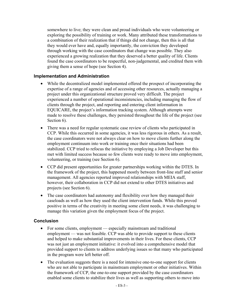somewhere to live; they were clean and proud individuals who were volunteering or exploring the possibility of training or work. Many attributed these transformations to a combination of their realization that if things did not change, then this is all that they would ever have and, equally importantly, the conviction they developed through working with the case coordinators that change was possible. They also experienced a growing realization that they deserved a better quality of life. Clients found the case coordinators to be respectful, non-judgemental, and credited them with giving them a sense of hope (see Section 4).

#### **Implementation and Administration**

- While the decentralized model implemented offered the prospect of incorporating the expertise of a range of agencies and of accessing other resources, actually managing a project under this organizational structure proved very difficult. The project experienced a number of operational inconsistencies, including managing the flow of clients through the project, and reporting and entering client information in EQUICARE, the project's information tracking system. Although attempts were made to resolve these challenges, they persisted throughout the life of the project (see Section 6).
- There was a need for regular systematic case review of clients who participated in CCP. While this occurred in some agencies, it was less rigorous in others. As a result, the case coordinators were not always clear on how to move clients further along the employment continuum into work or training once their situations had been stabilized. CCP tried to refocus the initiative by employing a Job Developer but this met with limited success because so few clients were ready to move into employment, volunteering, or training (see Section 6).
- CCP did present opportunities for greater partnerships working within the DTES. In the framework of the project, this happened mostly between front-line staff and senior management. All agencies reported improved relationships with MEIA staff, however, their collaboration in CCP did not extend to other DTES initiatives and projects (see Section 6).
- The case coordinators had autonomy and flexibility over how they managed their caseloads as well as how they used the client intervention funds. While this proved positive in terms of the creativity in meeting some client needs, it was challenging to manage this variation given the employment focus of the project.

#### **Conclusion**

- For some clients, employment especially mainstream and traditional employment — was not feasible. CCP was able to provide support to these clients and helped to make substantial improvements in their lives. For these clients, CCP was not just an employment initiative: it evolved into a comprehensive model that provided support to clients to address underlying issues so that many who participated in the program were left better off.
- The evaluation suggests there is a need for intensive one-to-one support for clients who are not able to participate in mainstream employment or other initiatives. Within the framework of CCP, the one-to-one support provided by the case coordinators enabled some clients to stabilize their lives as well as supporting others to move into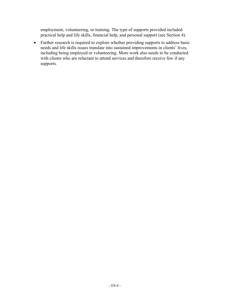employment, volunteering, or training. The type of supports provided included practical help and life skills, financial help, and personal support (see Section 4).

• Further research is required to explore whether providing supports to address basic needs and life skills issues translate into sustained improvements in clients' lives, including being employed or volunteering. More work also needs to be conducted with clients who are reluctant to attend services and therefore receive few if any supports.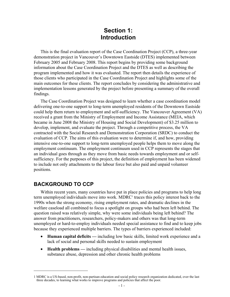## **Section 1: Introduction**

This is the final evaluation report of the Case Coordination Project (CCP), a three-year demonstration project in Vancouver's Downtown Eastside (DTES) implemented between February 2005 and February 2008. This report begins by providing some background information about the Case Coordination Project and the DTES as well as describing the program implemented and how it was evaluated. The report then details the experience of those clients who participated in the Case Coordination Project and highlights some of the main outcomes for these clients. The report concludes by considering the administrative and implementation lessons generated by the project before presenting a summary of the overall findings.

The Case Coordination Project was designed to learn whether a case coordination model delivering one-to-one support to long-term unemployed residents of the Downtown Eastside could help them return to employment and self-sufficiency. The Vancouver Agreement (VA) received a grant from the Ministry of Employment and Income Assistance (MEIA, which became in June 2008 the Ministry of Housing and Social Development) of \$3.25 million to develop, implement, and evaluate the project. Through a competitive process, the VA contracted with the Social Research and Demonstration Corporation (SRDC) to conduct the evaluation of CCP. The aims of this evaluation were to determine if, and how, providing intensive one-to-one support to long-term unemployed people helps them to move along the employment continuum. The employment continuum used in CCP represents the stages that an individual goes through as they move from basic needs towards employment and or selfsufficiency. For the purposes of this project, the definition of employment has been widened to include not only attachments to the labour force but also paid and unpaid volunteer positions.

## **BACKGROUND TO CCP**

1

Within recent years, many countries have put in place policies and programs to help long term unemployed individuals move into work. MDRC<sup>1</sup> traces this policy interest back to the 1990s when the strong economy, rising employment rates, and dramatic declines in the welfare caseload all combined to focus a spotlight on groups who had been left behind. The question raised was relatively simple, why were some individuals being left behind? The answer from practitioners, researchers, policy-makers and others was that long-term unemployed or hard-to-employ individuals needed special assistance to find and to keep jobs because they experienced multiple barriers. The types of barriers experienced included:

- **Human capital deficits —** including low basic skills, limited work experience and a lack of social and personal skills needed to sustain employment
- **Health problems —** including physical disabilities and mental health issues, substance abuse, depression and other chronic health problems

<sup>1</sup> MDRC is a US-based, non-profit, non-partisan education and social policy research organization dedicated, over the last three decades, to learning what works to improve programs and policies that affect the poor.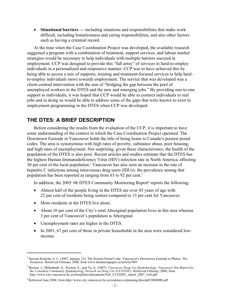• **Situational barriers —** including situations and responsibilities that make work difficult, including homelessness and caring responsibilities, and also other factors such as having a criminal record.

At the time when the Case Coordination Project was developed, the available research suggested a program with a combination of treatment, support services, and labour market strategies would be necessary to help individuals with multiple barriers succeed in employment. CCP was designed to provide this "full array" of services to hard-to-employ individuals in a personalized and responsive manner. CCP was to have achieved this by being able to access a mix of supports, training and treatment-focused services to help hardto-employ individuals move towards employment. The service that was developed was a client-centred intervention with the aim of "bridging the gap between the pool of unemployed workers in the DTES and the new and emerging jobs." By providing one-to-one support to individuals, it was hoped that CCP would be able to connect individuals to real jobs and in doing so would be able to address some of the gaps that were known to exist in employment programming in the DTES when CCP was developed.

## **THE DTES: A BRIEF DESCRIPTION**

Before considering the results from the evaluation of the CCP, it is important to have some understanding of the context in which the Case Coordination Project operated. The Downtown Eastside in Vancouver holds the title of being home to Canada's poorest postal codes. The area is synonymous with high rates of poverty, substance abuse, poor housing, and high rates of unemployment. Not surprising, given these characteristics, the health of the population of the DTES is also poor. Recent articles and studies estimate that the DTES has the highest Human Immunodeficiency Virus (HIV) infection rate in North America, affecting 30 per cent of the local population.<sup>2</sup> Vancouver has also seen an increase in the rate of hepatitis C infections among intravenous drug users (IDUs): the prevalence among that population has been reported as ranging from 63 to 92 per cent.<sup>3</sup>

In addition, the 2005–06 DTES Community Monitoring Report<sup>4</sup> reports the following:

- Almost half of the people living in the DTES are over 45 years of age with 22 per cent of residents being seniors compared to 13 per cent for Vancouver.
- More residents in the DTES live alone.

1

- About 10 per cent of the City's total Aboriginal population lives in this area whereas 3 per cent of Vancouver's population is Aboriginal.
- Unemployment rates are higher in the DTES.
- In 2001, 67 per cent of those in private households in the area were considered lowincome.

<sup>2</sup> Sawsan Kalache, S. C. (2007, January 12). The Poorest Postal Code: Vancouver's Downtown Eastside in Photos. *The Dominion*. Retrieved February 2008, from www.dominionpaper.ca/articles/909

<sup>3</sup> Buxton, J., Mehrabadi, A., Preston, E., and Tu, A. (2007). *Vancouver Drug Use Epidemiology: Vancouver Site Report for the Canadian Community Epidemiology Network on Drug Use (CCENDU)*. Retrieved February 2008, from http://www.city.vancouver.bc.ca/fourpillars/documents/Full\_CCENDU\_report\_2007\_web.pdf

<sup>4</sup> Retrieved June 2008, from http://www.city.vancouver.bc.ca/commsvcs/planning/dtes/pdf/2006MR.pdf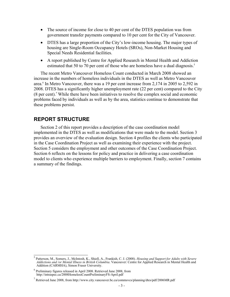- The source of income for close to 40 per cent of the DTES population was from government transfer payments compared to 10 per cent for the City of Vancouver.
- DTES has a large proportion of the City's low-income housing. The major types of housing are Single-Room Occupancy Hotels (SROs), Non-Market Housing and Special Needs Residential facilities.
- A report published by Centre for Applied Research in Mental Health and Addiction estimated that 50 to 70 per cent of those who are homeless have a dual diagnosis.<sup>5</sup>

The recent Metro Vancouver Homeless Count conducted in March 2008 showed an increase in the numbers of homeless individuals in the DTES as well as Metro Vancouver area.<sup>6</sup> In Metro Vancouver, there was a 19 per cent increase from 2,174 in 2005 to 2,592 in 2008. DTES has a significantly higher unemployment rate (22 per cent) compared to the City (8 per cent).*<sup>7</sup>* While there have been initiatives to resolve the complex social and economic problems faced by individuals as well as by the area, statistics continue to demonstrate that these problems persist.

### **REPORT STRUCTURE**

Section 2 of this report provides a description of the case coordination model implemented in the DTES as well as modifications that were made to the model. Section 3 provides an overview of the evaluation design. Section 4 profiles the clients who participated in the Case Coordination Project as well as examining their experience with the project. Section 5 considers the employment and other outcomes of the Case Coordination Project. Section 6 reflects on the lessons for policy and practice in delivering a case coordination model to clients who experience multiple barriers to employment. Finally, section 7 contains a summary of the findings.

 5 Patterson, M., Somers, J., McIntosh, K., Shiell, A., Frankish, C. J. (2008). *Housing and Support for Adults with Severe Addictions and /or Mental Illness in British Columbia*. Vancouver: Centre for Applied Research in Mental Health and Addition (CARMHA), Simon Fraser University.

<sup>&</sup>lt;sup>6</sup> Preliminary figures released in April 2008. Retrieved June 2008, from http://intraspec.ca/2008HomelessCountPreliminaryFS-April.pdf

<sup>&</sup>lt;sup>7</sup> Retrieved June 2008, from http://www.city.vancouver.bc.ca/commsvcs/planning/dtes/pdf/2006MR.pdf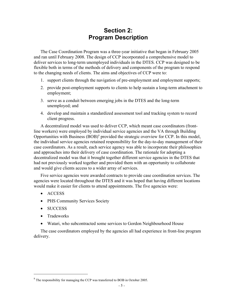## **Section 2: Program Description**

The Case Coordination Program was a three-year initiative that began in February 2005 and ran until February 2008. The design of CCP incorporated a comprehensive model to deliver services to long-term unemployed individuals in the DTES. CCP was designed to be flexible both in terms of the methods of delivery and components of the program to respond to the changing needs of clients. The aims and objectives of CCP were to:

- 1. support clients through the navigation of pre-employment and employment supports;
- 2. provide post-employment supports to clients to help sustain a long-term attachment to employment;
- 3. serve as a conduit between emerging jobs in the DTES and the long-term unemployed; and
- 4. develop and maintain a standardized assessment tool and tracking system to record client progress.

A decentralized model was used to deliver CCP, which meant case coordinators (frontline workers) were employed by individual service agencies and the VA through Building Opportunities with Business (BOB)<sup>8</sup> provided the strategic overview for CCP. In this model, the individual service agencies retained responsibility for the day-to-day management of their case coordinators. As a result, each service agency was able to incorporate their philosophies and approaches into their delivery of case coordination. The rationale for adopting a decentralized model was that it brought together different service agencies in the DTES that had not previously worked together and provided them with an opportunity to collaborate and would give clients access to a wider array of services.

Five service agencies were awarded contracts to provide case coordination services. The agencies were located throughout the DTES and it was hoped that having different locations would make it easier for clients to attend appointments. The five agencies were:

- ACCESS
- PHS Community Services Society
- SUCCESS
- Tradeworks

 $\overline{a}$ 

• Watari, who subcontracted some services to Gordon Neighbourhood House

The case coordinators employed by the agencies all had experience in front-line program delivery.

 $8$  The responsibility for managing the CCP was transferred to BOB in October 2005.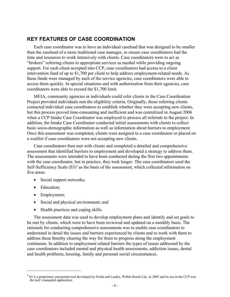## **KEY FEATURES OF CASE COORDINATION**

Each case coordinator was to have an individual caseload that was designed to be smaller than the caseload of a more traditional case manager, to ensure case coordinators had the time and resources to work intensively with clients. Case coordinators were to act as "brokers" referring clients to appropriate services as needed while providing ongoing support. For each client accepted into CCP, case coordinators had access to a client intervention fund of up to \$1,700 per client to help address employment-related needs. As these funds were managed by each of the service agencies, case coordinators were able to access them quickly. In special situations and with authorization from their agencies, case coordinators were able to exceed the \$1,700 limit.

MEIA, community agencies or individuals could refer clients to the Case Coordination Project provided individuals met the eligibility criteria. Originally, those referring clients contacted individual case coordinators to establish whether they were accepting new clients, but this process proved time-consuming and inefficient and was centralized in August 2006 when a CCP Intake Case Coordinator was employed to process all referrals to the project. In addition, the Intake Case Coordinator conducted initial assessments with clients to collect basic socio-demographic information as well as information about barriers to employment. Once this assessment was completed, clients were assigned to a case coordinator or placed on a waitlist if case coordinators were not accepting new clients.

Case coordinators then met with clients and completed a detailed and comprehensive assessment that identified barriers to employment and developed a strategy to address them. The assessments were intended to have been conducted during the first two appointments with the case coordinator, but in practice, they took longer. The case coordinators used the Self-Sufficiency Scale  $(S3)$ <sup>9</sup> as the basis of the assessment, which collected information on five areas:

- Social support networks;
- Education;

1

- Employment;
- Social and physical environment; and
- Health practices and coping skills.

The assessment data was used to develop employment plans and identify and set goals to be met by clients, which were to have been reviewed and updated on a monthly basis. The rationale for conducting comprehensive assessments was to enable case coordinators to understand in detail the issues and barriers experienced by clients and to work with them to address these thereby clearing the way for them to progress along the employment continuum. In addition to employment related barriers the types of issues addressed by the case coordinators included mental and physical health assessments, addiction issues, dental and health problems, housing, family and personal social circumstances.

 $9^9$  S3 is a proprietary assessment tool developed by Fortin and Landry, Within Reach Ltd., in 2005 and its use in the CCP was the tool's inaugural application.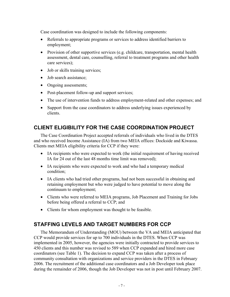Case coordination was designed to include the following components:

- Referrals to appropriate programs or services to address identified barriers to employment;
- Provision of other supportive services (e.g. childcare, transportation, mental health assessment, dental care, counselling, referral to treatment programs and other health care services);
- Job or skills training services;
- Job search assistance;
- Ongoing assessments;
- Post-placement follow-up and support services;
- The use of intervention funds to address employment-related and other expenses; and
- Support from the case coordinators to address underlying issues experienced by clients.

## **CLIENT ELIGIBILITY FOR THE CASE COORDINATION PROJECT**

The Case Coordination Project accepted referrals of individuals who lived in the DTES and who received Income Assistance (IA) from two MEIA offices: Dockside and Kiwassa. Clients met MEIA eligibility criteria for CCP if they were:

- IA recipients who were expected to work (the initial requirement of having received IA for 24 out of the last 48 months time limit was removed);
- IA recipients who were expected to work and who had a temporary medical condition;
- IA clients who had tried other programs, had not been successful in obtaining and retaining employment but who were judged to have potential to move along the continuum to employment;
- Clients who were referred to MEIA programs, Job Placement and Training for Jobs before being offered a referral to CCP; and
- Clients for whom employment was thought to be feasible.

## **STAFFING LEVELS AND TARGET NUMBERS FOR CCP**

The Memorandum of Understanding (MOU) between the VA and MEIA anticipated that CCP would provide services for up to 700 individuals in the DTES. When CCP was implemented in 2005, however, the agencies were initially contracted to provide services to 450 clients and this number was revised to 589 when CCP expanded and hired more case coordinators (see Table 1). The decision to expand CCP was taken after a process of community consultation with organizations and service providers in the DTES in February 2006. The recruitment of the additional case coordinators and a Job Developer took place during the remainder of 2006, though the Job Developer was not in post until February 2007.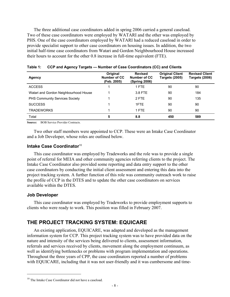The three additional case coordinators added in spring 2006 carried a general caseload. Two of these case coordinators were employed by WATARI and the other was employed by PHS. One of the case coordinators employed by WATARI had a reduced caseload in order to provide specialist support to other case coordinators on housing issues. In addition, the two initial half-time case coordinators from Watari and Gordon Neighbourhood House increased their hours to account for the other 0.8 increase in full-time equivalent (FTE).

| <b>Agency</b>                         | Original<br>Number of CC<br>(Feb. 2005) | <b>Revised</b><br>Number of CC<br>(Spring 2006) | <b>Original Client</b><br><b>Targets (2005)</b> | <b>Revised Client</b><br><b>Targets (2006)</b> |
|---------------------------------------|-----------------------------------------|-------------------------------------------------|-------------------------------------------------|------------------------------------------------|
| <b>ACCESS</b>                         |                                         | 1 FTE                                           | 90                                              | 90                                             |
| Watari and Gordon Neighbourhood House |                                         | 3.8 FTE                                         | 90                                              | 184                                            |
| <b>PHS Community Services Society</b> |                                         | 2 FTE                                           | 90                                              | 135                                            |
| <b>SUCCESS</b>                        |                                         | 1FTF                                            | 90                                              | 90                                             |
| <b>TRADEWORKS</b>                     |                                         | 1 FTE                                           | 90                                              | 90                                             |
| Total                                 | 5                                       | 8.8                                             | 450                                             | 589                                            |

**Table 1: CCP and Agency Targets — Number of Case Coordinators (CC) and Clients** 

**Source:** BOB Service Provider Contracts.

Two other staff members were appointed to CCP. These were an Intake Case Coordinator and a Job Developer, whose roles are outlined below.

#### **Intake Case Coordinator**<sup>10</sup>

This case coordinator was employed by Tradeworks and the role was to provide a single point of referral for MEIA and other community agencies referring clients to the project. The Intake Case Coordinator also provided some reporting and data entry support to the other case coordinators by conducting the initial client assessment and entering this data into the project tracking system. A further function of this role was community outreach work to raise the profile of CCP in the DTES and to update the other case coordinators on services available within the DTES.

#### **Job Developer**

 $\overline{a}$ 

This case coordinator was employed by Tradeworks to provide employment supports to clients who were ready to work. This position was filled in February 2007.

### **THE PROJECT TRACKING SYSTEM: EQUICARE**

An existing application, EQUICARE, was adapted and developed as the management information system for CCP. This project tracking system was to have provided data on the nature and intensity of the services being delivered to clients, assessment information, referrals and services received by clients, movement along the employment continuum, as well as identifying bottlenecks or problems with program implementation and operations. Throughout the three years of CPP, the case coordinators reported a number of problems with EQUICARE, including that it was not user-friendly and it was cumbersome and time-

<sup>&</sup>lt;sup>10</sup> The Intake Case Coordinator did not have a caseload.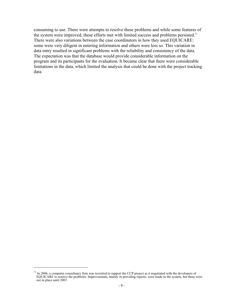consuming to use. There were attempts to resolve these problems and while some features of the system were improved, these efforts met with limited success and problems persisted.<sup>11</sup> There were also variations between the case coordinators in how they used EQUICARE: some were very diligent in entering information and others were less so. This variation in data entry resulted in significant problems with the reliability and consistency of the data. The expectation was that the database would provide considerable information on the program and its participants for the evaluation. It became clear that there were considerable limitations in the data, which limited the analysis that could be done with the project tracking data.

 $\overline{a}$ 

 $11$  In 2006, a computer consultancy firm was recruited to support the CCP project as it negotiated with the developers of EQUICARE to resolve the problems. Improvements, mainly in providing reports, were made to the system, but these were not in place until 2007.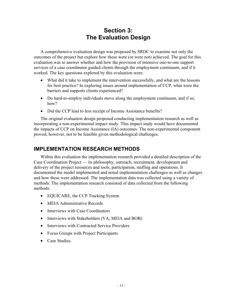## **Section 3: The Evaluation Design**

A comprehensive evaluation design was proposed by SRDC to examine not only the outcomes of the project but explore how these were (or were not) achieved. The goal for this evaluation was to answer whether and how the provision of intensive one-to-one support services of a case coordinator guided clients through the employment continuum, and if it worked. The key questions explored by this evaluation were:

- What did it take to implement the intervention successfully, and what are the lessons for best practice? In exploring issues around implementation of CCP, what were the barriers and supports clients experienced?
- Do hard-to-employ individuals move along the employment continuum, and if so, how?
- Did the CCP lead to less receipt of Income Assistance benefits?

The original evaluation design proposed conducting implementation research as well as incorporating a non-experimental impact study. This impact study would have documented the impacts of CCP on Income Assistance (IA) outcomes. The non-experimental component proved, however, not to be feasible given methodological challenges.

## **IMPLEMENTATION RESEARCH METHODS**

Within this evaluation the implementation research provided a detailed description of the Case Coordination Project — its philosophy, outreach, recruitment, development and delivery of the project resources and tools, participation, staffing and operations. It documented the model implemented and noted implementation challenges as well as changes and how these were addressed. The implementation data was collected using a variety of methods. The implementation research consisted of data collected from the following methods:

- EQUICARE, the CCP Tracking System
- MEIA Administrative Records
- Interviews with Case Coordinators
- Interviews with Stakeholders (VA, MEIA and BOB)
- Interviews with Contracted Service Providers
- Focus Groups with Project Participants
- Case Studies.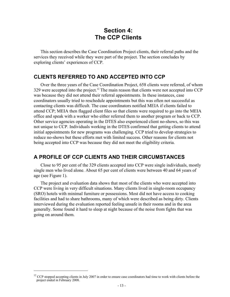## **Section 4: The CCP Clients**

This section describes the Case Coordination Project clients, their referral paths and the services they received while they were part of the project. The section concludes by exploring clients' experiences of CCP.

## **CLIENTS REFERRED TO AND ACCEPTED INTO CCP**

Over the three years of the Case Coordination Project, 658 clients were referred, of whom 329 were accepted into the project.<sup>12</sup> The main reason that clients were not accepted into CCP was because they did not attend their referral appointments. In these instances, case coordinators usually tried to reschedule appointments but this was often not successful as contacting clients was difficult. The case coordinators notified MEIA if clients failed to attend CCP; MEIA then flagged client files so that clients were required to go into the MEIA office and speak with a worker who either referred them to another program or back to CCP. Other service agencies operating in the DTES also experienced client no-shows, so this was not unique to CCP. Individuals working in the DTES confirmed that getting clients to attend initial appointments for new programs was challenging. CCP tried to develop strategies to reduce no-shows but these efforts met with limited success. Other reasons for clients not being accepted into CCP was because they did not meet the eligibility criteria.

## **A PROFILE OF CCP CLIENTS AND THEIR CIRCUMSTANCES**

Close to 95 per cent of the 329 clients accepted into CCP were single individuals, mostly single men who lived alone. About 65 per cent of clients were between 40 and 64 years of age (see Figure 1).

The project and evaluation data shows that most of the clients who were accepted into CCP were living in very difficult situations. Many clients lived in single-room occupancy (SRO) hotels with minimal furniture or possessions. Most did not have access to cooking facilities and had to share bathrooms, many of which were described as being dirty. Clients interviewed during the evaluation reported feeling unsafe in their rooms and in the area generally. Some found it hard to sleep at night because of the noise from fights that was going on around them.

 $\overline{a}$ 

 $12$  CCP stopped accepting clients in July 2007 in order to ensure case coordinators had time to work with clients before the project ended in February 2008.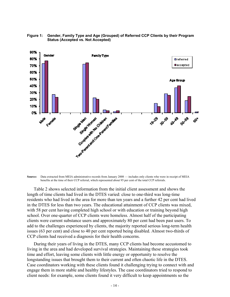

**Figure 1: Gender, Family Type and Age (Grouped) of Referred CCP Clients by their Program Status (Accepted vs. Not Accepted)** 

**Source:** Data extracted from MEIA administrative records from January 2008 — includes only clients who were in receipt of MEIA benefits at the time of their CCP referral, which represented about 95 per cent of the total CCP referrals.

Table 2 shows selected information from the initial client assessment and shows the length of time clients had lived in the DTES varied: close to one-third was long-time residents who had lived in the area for more than ten years and a further 42 per cent had lived in the DTES for less than two years. The educational attainment of CCP clients was mixed, with 58 per cent having completed high school or with education or training beyond high school. Over one-quarter of CCP clients were homeless. Almost half of the participating clients were current substance users and approximately 80 per cent had been past users. To add to the challenges experienced by clients, the majority reported serious long-term health issues (63 per cent) and close to 40 per cent reported being disabled. Almost two-thirds of CCP clients had received a diagnosis for their health concerns.

During their years of living in the DTES, many CCP clients had become accustomed to living in the area and had developed survival strategies. Maintaining these strategies took time and effort, leaving some clients with little energy or opportunity to resolve the longstanding issues that brought them to their current and often chaotic life in the DTES. Case coordinators working with these clients found it challenging trying to connect with and engage them in more stable and healthy lifestyles. The case coordinators tried to respond to client needs: for example, some clients found it very difficult to keep appointments so the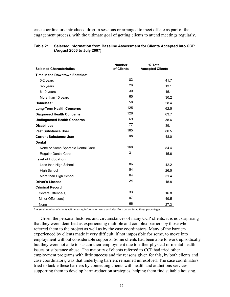case coordinators introduced drop-in sessions or arranged to meet offsite as part of the engagement process, with the ultimate goal of getting clients to attend meetings regularly.

| <b>Selected Characteristics</b>    | <b>Number</b><br>of Clients | % Total<br><b>Accepted Clients</b> |
|------------------------------------|-----------------------------|------------------------------------|
| Time in the Downtown Eastside*     |                             |                                    |
| 0-2 years                          | 83                          | 41.7                               |
| 3-5 years                          | 26                          | 13.1                               |
| 6-10 years                         | 30                          | 15.1                               |
| More than 10 years                 | 60                          | 30.2                               |
| Homeless*                          | 58                          | 28.4                               |
| <b>Long-Term Health Concerns</b>   | 125                         | 62.5                               |
| <b>Diagnosed Health Concerns</b>   | 128                         | 63.7                               |
| <b>Undiagnosed Health Concerns</b> | 69                          | 35.6                               |
| <b>Disabilities</b>                | 77                          | 39.1                               |
| <b>Past Substance User</b>         | 165                         | 80.5                               |
| <b>Current Substance User</b>      | 98                          | 48.0                               |
| <b>Dental</b>                      |                             |                                    |
| None or Some Sporadic Dental Care  | 168                         | 84.4                               |
| <b>Regular Dental Care</b>         | 31                          | 15.6                               |
| <b>Level of Education</b>          |                             |                                    |
| Less than High School              | 86                          | 42.2                               |
| <b>High School</b>                 | 54                          | 26.5                               |
| More than High School              | 64                          | 31.4                               |
| <b>Driver's License</b>            | 24                          | 15.8                               |
| <b>Criminal Record</b>             |                             |                                    |
| Severe Offence(s)                  | 33                          | 16.8                               |
| Minor Offence(s)                   | 97                          | 49.5                               |
| None                               | 66                          | 27.3                               |

#### **Table 2: Selected Information from Baseline Assessment for Clients Accepted into CCP (August 2006 to July 2007)**

\* A small number of clients with missing information were excluded from determining these percentages.

Given the personal histories and circumstances of many CCP clients, it is not surprising that they were identified as experiencing multiple and complex barriers by those who referred them to the project as well as by the case coordinators. Many of the barriers experienced by clients made it very difficult, if not impossible for some, to move into employment without considerable supports. Some clients had been able to work episodically but they were not able to sustain their employment due to either physical or mental health issues or substance abuse. The majority of clients referred to CCP had tried other employment programs with little success and the reasons given for this, by both clients and case coordinators, was that underlying barriers remained unresolved. The case coordinators tried to tackle these barriers by connecting clients with health and addictions services, supporting them to develop harm-reduction strategies, helping them find suitable housing,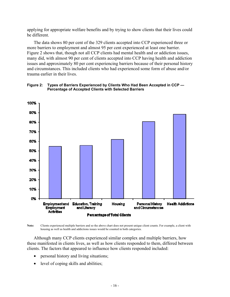applying for appropriate welfare benefits and by trying to show clients that their lives could be different.

The data shows 80 per cent of the 329 clients accepted into CCP experienced three or more barriers to employment and almost 95 per cent experienced at least one barrier. Figure 2 shows that, though not all CCP clients had mental health and or addiction issues, many did, with almost 90 per cent of clients accepted into CCP having health and addiction issues and approximately 80 per cent experiencing barriers because of their personal history and circumstances. This included clients who had experienced some form of abuse and/or trauma earlier in their lives.



#### **Figure 2: Types of Barriers Experienced by Clients Who Had Been Accepted in CCP — Percentage of Accepted Clients with Selected Barriers**

**Note:** Clients experienced multiple barriers and so the above chart does not present unique client counts. For example, a client with housing as well as health and addictions issues would be counted in both categories.

Although many CCP clients experienced similar complex and multiple barriers, how these manifested in clients lives, as well as how clients responded to them, differed between clients. The factors that appeared to influence how clients responded included:

- personal history and living situations;
- level of coping skills and abilities;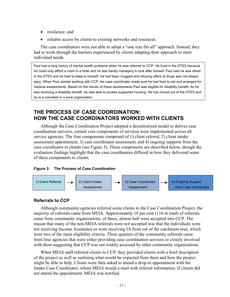- resilience; and
- reliable access by clients to existing networks and resources.

The case coordinators were not able to adopt a "one size fits all" approach. Instead, they had to work through the barriers experienced by clients adapting their approach to meet individual needs.

Paul had a long history of mental health problems when he was referred to CCP. He lived in the DTES because he could only afford a room in a hotel and he was barely managing to look after himself. Paul said he was afraid in the DTES and he tried to keep to himself. He had been mugged and refusing offers of drugs was not always easy. When Paul started working with CCP, his case coordinator made sure he had food to eat and arranged for medical assessments. Based on the results of these assessments Paul was eligible for disability benefit. As he was receiving a disability benefit, he was able to access supported housing. He has moved out of the DTES and he is a volunteer in a local organization.

## **THE PROCESS OF CASE COORDINATION: HOW THE CASE COORDINATORS WORKED WITH CLIENTS**

Although the Case Coordination Project adopted a decentralized model to deliver case coordination services, certain core components of services were implemented across all service agencies. The four components comprised of 1) client referral, 2) client intake assessment appointment, 3) case coordinator assessment, and 4) ongoing supports from the case coordinator to clients (see Figure 3). These components are described below, though the evaluation findings highlight that the case coordinators differed in how they delivered some of these components to clients.

#### **Figure 3: The Process of Case Coordination**



### **Referrals to CCP**

Although community agencies referred some clients to the Case Coordination Project, the majority of referrals came from MEIA. Approximately 18 per cent (116 in total) of referrals came from community organizations; of those, almost half were accepted into CCP. The reason that many of the non-MEIA referrals were not accepted was that the individuals were not receiving Income Assistance or were receiving IA from out of the catchment area, which were two of the main eligibility criteria. Three quarters of the community referrals came from four agencies that were either providing case coordination services or closely involved with them suggesting that CCP was not widely accessed by other community organizations.

When MEIA staff referred clients to CCP, they provided clients with a brief description of the project as well as outlining what would be expected from them and how the project might be able to help. Clients were then asked to attend a drop-in appointment with the Intake Case Coordinator, whom MEIA would e-mail with referral information. If clients did not attend the appointment, MEIA was notified.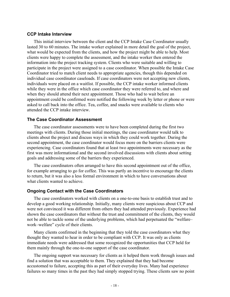#### **CCP Intake Interview**

This initial interview between the client and the CCP Intake Case Coordinator usually lasted 30 to 60 minutes. The intake worker explained in more detail the goal of the project, what would be expected from the clients, and how the project might be able to help. Most clients were happy to complete the assessment, and the intake worker then entered the information into the project tracking system. Clients who were suitable and willing to participate in the project were assigned to a case coordinator. When possible the Intake Case Coordinator tried to match client needs to appropriate agencies, though this depended on individual case coordinator caseloads. If case coordinators were not accepting new clients, individuals were placed on a waitlist. If possible, the CCP intake worker informed clients while they were in the office which case coordinator they were referred to, and where and when they should attend their next appointment. Those who had to wait before an appointment could be confirmed were notified the following week by letter or phone or were asked to call back into the office. Tea, coffee, and snacks were available to clients who attended the CCP intake interview.

#### **The Case Coordinator Assessment**

The case coordinator assessments were to have been completed during the first two meetings with clients. During those initial meetings, the case coordinator would talk to clients about the project and discuss ways in which they could work together. During the second appointment, the case coordinator would focus more on the barriers clients were experiencing. Case coordinators found that at least two appointments were necessary as the first was more informational and the second involved discussions with clients about setting goals and addressing some of the barriers they experienced.

The case coordinators often arranged to have this second appointment out of the office, for example arranging to go for coffee. This was partly an incentive to encourage the clients to return, but it was also a less formal environment in which to have conversations about what clients wanted to achieve.

#### **Ongoing Contact with the Case Coordinators**

The case coordinators worked with clients on a one-to-one basis to establish trust and to develop a good working relationship. Initially, many clients were suspicious about CCP and were not convinced it was different from others they had attended previously. Experience had shown the case coordinators that without the trust and commitment of the clients, they would not be able to tackle some of the underlying problems, which had perpetuated the "welfare– work–welfare" cycle of their clients.

Many clients confirmed in the beginning that they told the case coordinators what they thought they wanted to hear in order to be compliant with CCP. It was only as clients immediate needs were addressed that some recognized the opportunities that CCP held for them mainly through the one-to-one support of the case coordinator.

The ongoing support was necessary for clients as it helped them work through issues and find a solution that was acceptable to them. They explained that they had become accustomed to failure, accepting this as part of their everyday lives. Many had experience failures so many times in the past they had simply stopped trying. These clients saw no point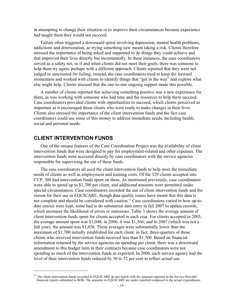in attempting to change their situation or to improve their circumstances because experience had taught them they would not succeed.

Failure often triggered a downward spiral involving depression, mental health problems, addictions and deterioration, so trying something new meant taking a risk. Clients therefore stressed the importance of being asked and supported to do things they could achieve and that improved their lives directly but incrementally. In these instances, the case coordinators served as a safety net, so if and when clients did not meet their goals, there was someone to help them try again, perhaps with a different approach. Clients reported that they were not judged or sanctioned for failing; instead, the case coordinators tried to keep the forward momentum and worked with clients to identify things that "got in the way" and explore what else might help. Clients stressed that the one-to-one ongoing support made this possible.

A number of clients reported that achieving something positive was a new experience for them, as was working with someone who had time and the resources to help them succeed. Case coordinators provided clients with opportunities to succeed, which clients perceived as important as it encouraged those clients who were ready to make changes in their lives. Clients also stressed the importance of the client intervention funds and the fact case coordinators could use some of this money to address immediate needs, including health, social and personal needs.

### **CLIENT INTERVENTION FUNDS**

1

One of the unique features of the Case Coordination Project was the availability of client intervention funds that were designed to pay for employment-related and other expenses. The intervention funds were accessed directly by case coordinators with the service agencies responsible for supervising the use of these funds.

The case coordinators all used the client intervention funds to help meet the immediate needs of clients as well as employment and training costs. Of the 329 clients accepted into CCP, 308 had intervention funds spent on them. As mentioned previously, case coordinators were able to spend up to \$1,700 per client, and additional amounts were permitted under special circumstances. Case coordinators recorded the use of client intervention funds and the reason for their use in EQUICARE, though data quality issues have meant that this data is not complete and should be considered with caution.<sup>13</sup> Case coordinators varied in how up-todate entries were kept, some had to do substantial data entry in fall 2007 to update records, which increases the likelihood of errors or omissions. Table 3 shows the average amount of client intervention funds spent for clients accepted in each year. For clients accepted in 2005, the average amount spent was \$1,048; in 2006, it was \$1,366; and in 2007 (which was not a full year), the amount was \$1,036. These averages were substantially lower than the maximum of \$1,700 initially established for each client: in fact, three-quarters of those clients who received intervention funds received less than \$1,700. Based on financial information returned by the service agencies on spending per client, there was a downward amendment to this budget item in their contracts because case coordinators were not spending as much of the intervention funds as expected. In 2006, each service agency had the level of their intervention funds reduced by 30 to 52 per cent to reflect actual use.

<sup>&</sup>lt;sup>13</sup> The client intervention funds recorded in EQUICARE do not match with the amounts reported in the Service Provider financial reports submitted to BOB. The amounts in EQUICARE are under-reported compared to the actual expenditures.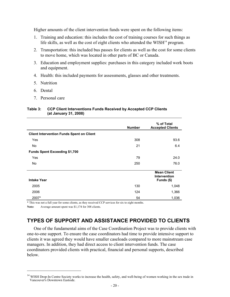Higher amounts of the client intervention funds were spent on the following items:

- 1. Training and education: this includes the cost of training courses for such things as life skills, as well as the cost of eight clients who attended the  $WISH<sup>14</sup>$  program.
- 2. Transportation: this included bus passes for clients as well as the cost for some clients to move home, which was located in other parts of BC or Canada.
- 3. Education and employment supplies: purchases in this category included work boots and equipment.
- 4. Health: this included payments for assessments, glasses and other treatments.
- 5. Nutrition
- 6. Dental
- 7. Personal care

#### **Table 3: CCP Client Interventions Funds Received by Accepted CCP Clients (at January 31, 2008)**

|                                                  | <b>Number</b> | % of Total<br><b>Accepted Clients</b>                   |
|--------------------------------------------------|---------------|---------------------------------------------------------|
| <b>Client Intervention Funds Spent on Client</b> |               |                                                         |
| Yes                                              | 308           | 93.6                                                    |
| No                                               | 21            | 6.4                                                     |
| <b>Funds Spent Exceeding \$1,700</b>             |               |                                                         |
| Yes                                              | 79            | 24.0                                                    |
| No.                                              | 250           | 76.0                                                    |
| <b>Intake Year</b>                               |               | <b>Mean Client</b><br><b>Intervention</b><br>Funds (\$) |
| 2005                                             | 130           | 1,048                                                   |
| 2006                                             | 124           | 1,366                                                   |
| 2007*                                            | 54            | 1,036                                                   |

\* This was not a full year for some clients, as they received CCP services for six to eight months.

Note: Average amount spent was \$1,174 for 308 clients.

1

## **TYPES OF SUPPORT AND ASSISTANCE PROVIDED TO CLIENTS**

One of the fundamental aims of the Case Coordination Project was to provide clients with one-to-one support. To ensure the case coordinators had time to provide intensive support to clients it was agreed they would have smaller caseloads compared to more mainstream case managers. In addition, they had direct access to client intervention funds. The case coordinators provided clients with practical, financial and personal supports, described below.

<sup>&</sup>lt;sup>14</sup> WISH Drop-In Centre Society works to increase the health, safety, and well-being of women working in the sex trade in Vancouver's Downtown Eastside.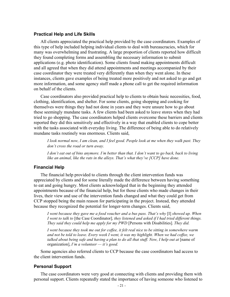#### **Practical Help and Life Skills**

All clients appreciated the practical help provided by the case coordinators. Examples of this type of help included helping individual clients to deal with bureaucracies, which for many was overwhelming and frustrating. A large proportion of clients reported how difficult they found completing forms and assembling the necessary information to submit applications (e.g. photo identification). Some clients found making appointments difficult and all agreed that when they did attend appointments and meetings accompanied by their case coordinator they were treated very differently than when they went alone. In these instances, clients gave examples of being treated more positively and not asked to go and get more information, and some agency staff made a phone call to get the required information on behalf of the clients.

Case coordinators also provided practical help to clients to obtain basic necessities, food, clothing, identification, and shelter. For some clients, going shopping and cooking for themselves were things they had not done in years and they were unsure how to go about these seemingly mundane tasks. A few clients had been asked to leave stores when they had tried to go shopping. The case coordinators helped clients overcome these barriers and clients reported they did this sensitively and effectively in a way that enabled clients to cope better with the tasks associated with everyday living. The difference of being able to do relatively mundane tasks routinely was enormous. Clients said,

*I look normal now, I am clean, and I feel good. People look at me when they walk past. They don't cross the road or turn away.* 

*I don't eat out of bins anymore. I'm better than that. I don't want to go back, back to living like an animal, like the rats in the alleys. That's what they've [CCP] have done.* 

#### **Financial Help**

The financial help provided to clients through the client intervention funds was appreciated by clients and for some literally made the difference between having something to eat and going hungry. Most clients acknowledged that in the beginning they attended appointments because of the financial help, but for those clients who made changes in their lives, their view and use of the intervention funds changed and what they could get from CCP stopped being the main reason for participating in the project. Instead, they attended because they recognized the potential for longer-term changes. Clients said,

*I went because they gave me a food voucher and a bus pass. That's why* [I] *showed up. When I went to talk to* [the Case Coordinator]*, they listened and asked if I had tried different things. They said they could help me apply for my PWD* [Persons with Disabilities]*. They did.* 

*I went because they took me out for coffee, it felt real nice to be sitting in somewhere warm and not be told to leave. Every week I went, it was my highlight. When we had coffee, we*  talked about being safe and having a plan to do all that stuff. Now, I help out at [name of organization], *I'm a volunteer — it's good.* 

Some agencies also referred clients to CCP because the case coordinators had access to the client intervention funds.

#### **Personal Support**

The case coordinators were very good at connecting with clients and providing them with personal support. Clients repeatedly stated the importance of having someone who listened to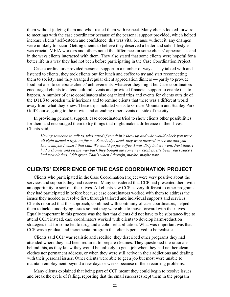them without judging them and who treated them with respect. Many clients looked forward to meetings with the case coordinator because of the personal support provided, which helped increase clients' self-esteem and confidence; this was vital because without it, any changes were unlikely to occur. Getting clients to believe they deserved a better and safer lifestyle was crucial. MEIA workers and others noted the differences in some clients' appearances and in the ways clients interacted with them. They also stated that some clients were hopeful for a better life in a way they had not been before participating in the Case Coordination Project.

Case coordinators provided personal support in a number of ways. They talked with and listened to clients, they took clients out for lunch and coffee to try and start reconnecting them to society, and they arranged regular client appreciation dinners — partly to provide food but also to celebrate clients' achievements, whatever they might be. Case coordinators encouraged clients to attend cultural events and provided financial support to enable this to happen. A number of case coordinators also organized trips and events for clients outside of the DTES to broaden their horizons and to remind clients that there was a different world away from what they knew. These trips included visits to Grouse Mountain and Stanley Park Golf Course, going to the movie, and attending other events outside of the city.

In providing personal support, case coordinators tried to show clients other possibilities for them and encouraged them to try things that might make a difference in their lives. Clients said,

*Having someone to talk to, who cared if you didn't show up and who would check you were all right turned a light on for me. Somebody cared, they were pleased to see me and you know, maybe I wasn't that bad. We would go for coffee, I was dirty but we went. Next time, I had a shower and on the way back they bought me some new clothes. It's been years since I had new clothes. I felt great. That's when I thought, maybe, maybe now.* 

### **CLIENTS' EXPERIENCE OF THE CASE COORDINATION PROJECT**

Clients who participated in the Case Coordination Project were very positive about the services and supports they had received. Many considered that CCP had presented them with an opportunity to sort out their lives. All clients saw CCP as very different to other programs they had participated in before because case coordinators worked with them to address the issues they needed to resolve first, through tailored and individual supports and services. Clients reported that this approach, combined with continuity of case coordinators, helped them to tackle underlying issues so that they were able to move forward with their lives. Equally important in this process was the fact that clients did not have to be substance-free to attend CCP: instead, case coordinators worked with clients to develop harm-reduction strategies that for some led to drug and alcohol rehabilitation. What was important was that CCP was a gradual and incremental program that clients perceived to be realistic.

Clients said CCP was realistic and credible: they described other programs they had attended where they had been required to prepare résumés. They questioned the rationale behind this, as they knew they would be unlikely to get a job when they had neither clean clothes nor permanent address, or when they were still active in their addictions and dealing with their personal issues. Other clients were able to get a job but most were unable to maintain employment beyond a few days or weeks because of their recurring problems.

Many clients explained that being part of CCP meant they could begin to resolve issues and break the cycle of failing, reporting that the small successes kept them in the program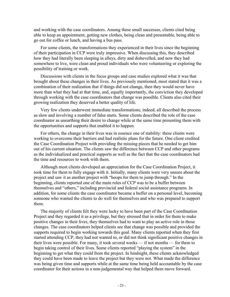and working with the case coordinators. Among these small successes, clients cited being able to keep an appointment, getting new clothes, being clean and presentable, being able to go out for coffee or lunch, and having a bus pass.

For some clients, the transformations they experienced in their lives since the beginning of their participation in CCP were truly impressive. When discussing this, they described how they had literally been sleeping in alleys, dirty and dishevelled, and now they had somewhere to live, were clean and proud individuals who were volunteering or exploring the possibility of training or work.

Discussions with clients in the focus groups and case studies explored what it was that brought about these changes in their lives. As previously mentioned, most stated that it was a combination of their realization that if things did not change, then they would never have more than what they had at that time, and, equally importantly, the conviction they developed through working with the case coordinators that change was possible. Clients also cited their growing realization they deserved a better quality of life.

Very few clients underwent immediate transformations; indeed, all described the process as slow and involving a number of false starts. Some clients described the role of the case coordinator as unearthing their desire to change while at the same time presenting them with the opportunities and supports that enabled it to happen.

For others, the change in their lives was in essence one of stability: these clients were working to overcome their barriers and had realistic plans for the future. One client credited the Case Coordination Project with providing the missing pieces that he needed to get him out of his current situation. The clients saw the difference between CCP and other programs as the individualized and practical supports as well as the fact that the case coordinators had the time and resources to work with them.

Although most clients developed an appreciation for the Case Coordination Project, it took time for them to fully engage with it. Initially, many clients were very unsure about the project and saw it as another project with "hoops for them to jump through." In the beginning, clients reported one of the main roles of CCP was to be a buffer between themselves and "others," including provincial and federal social assistance programs. In addition, for some clients the case coordinator became a buffer on a personal level, becoming someone who wanted the clients to do well for themselves and who was prepared to support them.

The majority of clients felt they were lucky to have been part of the Case Coordination Project and they regarded it as a privilege, but they stressed that in order for them to make positive changes in their lives, they themselves had to want to play an active role in those changes. The case coordinators helped clients see that change was possible and provided the supports required to begin working towards this goal. Many clients reported when they first started attending CCP, they had not wanted to, or did not think significant positive changes in their lives were possible. For many, it took several weeks — if not months — for them to begin taking control of their lives. Some clients reported "playing the system" in the beginning to get what they could from the project. In hindsight, these clients acknowledged they could have been made to leave the project but they were not. What made the difference was being given time and supports while at the same time being held accountable by the case coordinator for their actions in a non-judgemental way that helped them move forward.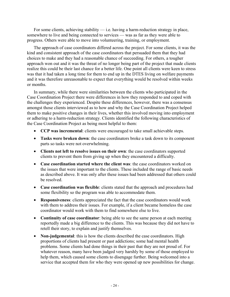For some clients, achieving stability  $-$  i.e. having a harm-reduction strategy in place, somewhere to live and being connected to services — was as far as they were able to progress. Others were able to move into volunteering, training, or employment.

The approach of case coordinators differed across the project. For some clients, it was the kind and consistent approach of the case coordinators that persuaded them that they had choices to make and they had a reasonable chance of succeeding. For others, a tougher approach won out and it was the threat of no longer being part of the project that made clients realize this could be their last chance for a better life. One point all clients were keen to stress was that it had taken a long time for them to end up in the DTES living on welfare payments and it was therefore unreasonable to expect that everything would be resolved within weeks or months.

In summary, while there were similarities between the clients who participated in the Case Coordination Project there were differences in how they responded to and coped with the challenges they experienced. Despite these differences, however, there was a consensus amongst those clients interviewed as to how and why the Case Coordination Project helped them to make positive changes in their lives, whether this involved moving into employment or adhering to a harm-reduction strategy. Clients identified the following characteristics of the Case Coordination Project as being most helpful to them:

- **CCP was incremental**: clients were encouraged to take small achievable steps.
- **Tasks were broken down**: the case coordinators broke a task down to its component parts so tasks were not overwhelming.
- **Clients not left to resolve issues on their own**: the case coordinators supported clients to prevent them from giving up when they encountered a difficulty.
- **Case coordination started where the client was**: the case coordinators worked on the issues that were important to the clients. These included the range of basic needs as described above. It was only after these issues had been addressed that others could be resolved.
- **Case coordination was flexible**: clients stated that the approach and procedures had some flexibility so the program was able to accommodate them.
- **Responsiveness**: clients appreciated the fact that the case coordinators would work with them to address their issues. For example, if a client became homeless the case coordinator would work with them to find somewhere else to live.
- **Continuity of case coordinator**: being able to see the same person at each meeting reportedly made a big difference to the clients. This was because they did not have to retell their story, to explain and justify themselves.
- **Non-judgemental**: this is how the clients described the case coordinators. High proportions of clients had present or past addictions; some had mental health problems. Some clients had done things in their past that they are not proud of. For whatever reason, many have been judged very harshly by some of those employed to help them, which caused some clients to disengage further. Being welcomed into a service that accepted them for who they were opened up new possibilities for change.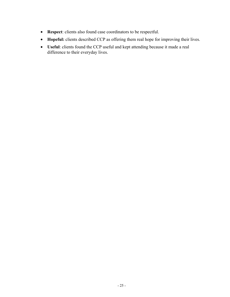- **Respect**: clients also found case coordinators to be respectful.
- **Hopeful:** clients described CCP as offering them real hope for improving their lives.
- **Useful**: clients found the CCP useful and kept attending because it made a real difference to their everyday lives.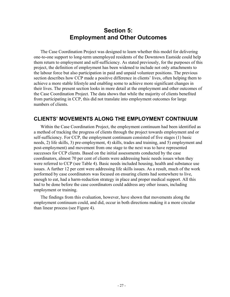## **Section 5: Employment and Other Outcomes**

The Case Coordination Project was designed to learn whether this model for delivering one-to-one support to long-term unemployed residents of the Downtown Eastside could help them return to employment and self-sufficiency. As stated previously, for the purposes of this project, the definition of employment has been widened to include not only attachments to the labour force but also participation in paid and unpaid volunteer positions. The previous section describes how CCP made a positive difference in clients' lives, often helping them to achieve a more stable lifestyle and enabling some to achieve more significant changes in their lives. The present section looks in more detail at the employment and other outcomes of the Case Coordination Project. The data shows that while the majority of clients benefited from participating in CCP, this did not translate into employment outcomes for large numbers of clients.

## **CLIENTS' MOVEMENTS ALONG THE EMPLOYMENT CONTINUUM**

Within the Case Coordination Project, the employment continuum had been identified as a method of tracking the progress of clients through the project towards employment and or self-sufficiency. For CCP, the employment continuum consisted of five stages (1) basic needs, 2) life skills, 3) pre-employment, 4) skills, trades and training, and 5) employment and post-employment) and movement from one stage to the next was to have represented successes for CCP clients. Based on the initial assessments conducted by the case coordinators, almost 70 per cent of clients were addressing basic needs issues when they were referred to CCP (see Table 4). Basic needs included housing, health and substance use issues. A further 12 per cent were addressing life skills issues. As a result, much of the work performed by case coordinators was focused on ensuring clients had somewhere to live, enough to eat, had a harm-reduction strategy in place and proper medical support. All this had to be done before the case coordinators could address any other issues, including employment or training.

The findings from this evaluation, however, have shown that movements along the employment continuum could, and did, occur in both directions making it a more circular than linear process (see Figure 4).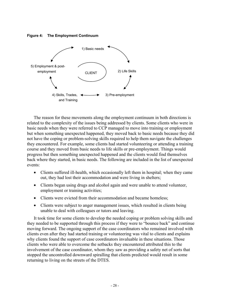**Figure 4: The Employment Continuum** 



The reason for these movements along the employment continuum in both directions is related to the complexity of the issues being addressed by clients. Some clients who were in basic needs when they were referred to CCP managed to move into training or employment but when something unexpected happened, they moved back to basic needs because they did not have the coping or problem-solving skills required to help them navigate the challenges they encountered. For example, some clients had started volunteering or attending a training course and they moved from basic needs to life skills or pre-employment. Things would progress but then something unexpected happened and the clients would find themselves back where they started, in basic needs. The following are included in the list of unexpected events:

- Clients suffered ill-health, which occasionally left them in hospital; when they came out, they had lost their accommodation and were living in shelters;
- Clients began using drugs and alcohol again and were unable to attend volunteer, employment or training activities;
- Clients were evicted from their accommodation and became homeless;
- Clients were subject to anger management issues, which resulted in clients being unable to deal with colleagues or tutors and leaving.

It took time for some clients to develop the needed coping or problem solving skills and they needed to be supported through this process if they were to "bounce back" and continue moving forward. The ongoing support of the case coordinators who remained involved with clients even after they had started training or volunteering was vital to clients and explains why clients found the support of case coordinators invaluable in these situations. Those clients who were able to overcome the setbacks they encountered attributed this to the involvement of the case coordinator, whom they saw as providing a safety net of sorts that stopped the uncontrolled downward spiralling that clients predicted would result in some returning to living on the streets of the DTES.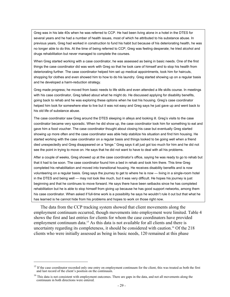Greg was in his late 40s when he was referred to CCP. He had been living alone in a hotel in the DTES for several years and he had a number of health issues, most of which he attributed to his substance abuse. In previous years, Greg had worked in construction to fund his habit but because of his deteriorating health, he was no longer able to do this. At the time of being referred to CCP, Greg was feeling desperate; he tried alcohol and drugs rehabilitation but never managed to complete the courses.

When Greg started working with a case coordinator, he was assessed as being in basic needs. One of the first things the case coordinator did was work with Greg so that he took care of himself and to stop his health from deteriorating further. The case coordinator helped him set up medical appointments, took him for haircuts, shopping for clothes and even showed him to how to do his laundry. Greg started showing up on a regular basis and he developed a harm-reduction strategy.

Greg made progress; he moved from basic needs to life skills and even attended a life skills course. In meetings with his case coordinator, Greg talked about what he might do. He discussed applying for disability benefits, going back to rehab and he was exploring these options when he lost his housing. Greg's case coordinator helped him look for somewhere else to live but it was not easy and Greg says he just gave up and went back to his old life of substance abuse.

The case coordinator saw Greg around the DTES sleeping in alleys and looking ill. Greg's visits to the case coordinator became very sporadic. When he did show up, the case coordinator took him for something to eat and gave him a food voucher. The case coordinator thought about closing his case but eventually Greg started showing up more often and the case coordinator was able help stabilize his situation and find him housing. He started working with the case coordinator on a regular basis and things looked to be going well when a friend died unexpectedly and Greg disappeared on a "binge." Greg says it all just got too much for him and he did not see the point in trying to move on. He says that he did not want to have to deal with all his problems.

After a couple of weeks, Greg showed up at the case coordinator's office, saying he was ready to go to rehab but that it had to be soon. The case coordinator found him a bed in rehab and took him there. This time Greg completed his rehabilitation and moved into transitional housing. He receives disability benefits and is now volunteering on a regular basis. Greg says the journey to get to where he is now — living in a single-room hotel in the DTES and being well — may not look like much, but it was very difficult. He hopes his journey is just beginning and that he continues to move forward. He says there have been setbacks since he has completed rehabilitation but he is able to stop himself from giving up because he has good support networks, among them his case coordinator. When asked if full-time work is a possibility he says he wouldn't rule it out but that what he has learned is he cannot hide from his problems and hopes to work on those right now.

The data from the CCP tracking system showed that client movements along the employment continuum occurred, though movements into employment were limited. Table 4 shows the first and last entries for clients for whom the case coordinators have provided employment continuum data.<sup>15</sup> As this data is not available for all clients and there is uncertainty regarding its completeness, it should be considered with caution.<sup>16</sup> Of the 218 clients who were initially assessed as being in basic needs, 120 remained at this phase

 $\overline{a}$ 

<sup>&</sup>lt;sup>15</sup> If the case coordinator recorded only one entry on employment continuum for the client, this was treated as both the first and last record of the client's position on the continuum.

<sup>&</sup>lt;sup>16</sup> This data is not consistent with employment outcomes. There are gaps in the data, and not all movements along the continuum in both directions were entered.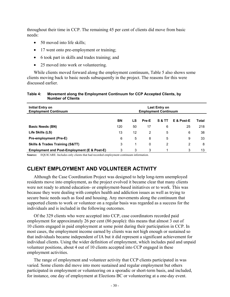throughout their time in CCP. The remaining 45 per cent of clients did move from basic needs:

- 50 moved into life skills:
- 17 went onto pre-employment or training;
- 6 took part in skills and trades training; and
- 25 moved into work or volunteering.

While clients moved forward along the employment continuum, Table 5 also shows some clients moving back to basic needs subsequently in the project. The reasons for this were discussed earlier.

#### **Table 4: Movement along the Employment Continuum for CCP Accepted Clients, by Number of Clients**

| Initial Entry on<br><b>Employment Continuum</b>        | Last Entry on<br><b>Employment Continuum</b> |    |       |        |                |       |
|--------------------------------------------------------|----------------------------------------------|----|-------|--------|----------------|-------|
|                                                        | <b>BN</b>                                    | LS | Pre-E | S & TT | E & Post-E     | Total |
| <b>Basic Needs (BN)</b>                                | 120                                          | 50 | 17    | 6      | 25             | 218   |
| Life Skills (LS)                                       | 13                                           | 12 | 2     | 5      | 6              | 38    |
| Pre-employment (Pre-E)                                 | 6                                            | 5  | 8     | 5      | 9              | 33    |
| <b>Skills &amp; Trades Training (S&amp;TT)</b>         | 3                                            |    | 0     | 2      | $\overline{2}$ | 8     |
| <b>Employment and Post-Employment (E &amp; Post-E)</b> | 3                                            | 3  | 3     |        | 3              | 13    |

**Source:** EQUICARE. Includes only clients that had recorded employment continuum information.

## **CLIENT EMPLOYMENT AND VOLUNTEER ACTIVITY**

Although the Case Coordination Project was designed to help long-term unemployed residents move into employment, as the project evolved it became clear that many clients were not ready to attend education- or employment-based initiatives or to work. This was because they were dealing with complex health and addiction issues as well as trying to secure basic needs such as food and housing. Any movements along the continuum that supported clients to work or volunteer on a regular basis was regarded as a success for the individuals and is included in the following outcomes.

Of the 329 clients who were accepted into CCP, case coordinators recorded paid employment for approximately 26 per cent (86 people): this means that almost 3 out of 10 clients engaged in paid employment at some point during their participation in CCP. In most cases, the employment income earned by clients was not high enough or sustained so that individuals became independent of IA but it did represent a significant achievement for individual clients. Using the wider definition of employment, which includes paid and unpaid volunteer positions, about 4 out of 10 clients accepted into CCP engaged in these employment activities.

The range of employment and volunteer activity that CCP clients participated in was varied. Some clients did move into more sustained and regular employment but others participated in employment or volunteering on a sporadic or short-term basis, and included, for instance, one day of employment at Elections BC or volunteering at a one-day event.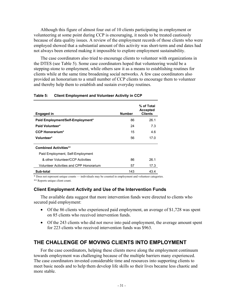Although this figure of almost four out of 10 clients participating in employment or volunteering at some point during CCP is encouraging, it needs to be treated cautiously because of data quality issues. A review of the employment records of those clients who were employed showed that a substantial amount of this activity was short-term and end dates had not always been entered making it impossible to explore employment sustainability.

The case coordinators also tried to encourage clients to volunteer with organizations in the DTES (see Table 5). Some case coordinators hoped that volunteering would be a stepping-stone to employment, while others saw it as a means to establishing routines for clients while at the same time broadening social networks. A few case coordinators also provided an honorarium to a small number of CCP clients to encourage them to volunteer and thereby help them to establish and sustain everyday routines.

| <b>Engaged in</b>                              | <b>Number</b> | % of Total<br><b>Accepted</b><br><b>Clients</b> |
|------------------------------------------------|---------------|-------------------------------------------------|
| Paid Employment/Self-Employment*               | 86            | 26.1                                            |
| Paid Volunteer*                                | 24            | 7.3                                             |
| <b>CCP Honorarium*</b>                         | 15            | 4.6                                             |
| Volunteer*                                     | 56            | 17.0                                            |
| <b>Combined Activities**</b>                   |               |                                                 |
| Paid Employment, Self-Employment               |               |                                                 |
| & other Volunteer/CCP Activities               | 86            | 26.1                                            |
| <b>Volunteer Activities and CPP Honorarium</b> | 57            | 17.3                                            |
| Sub-total                                      | 143           | 43.4                                            |

#### **Table 5: Client Employment and Volunteer Activity in CCP**

\* Does not represent unique counts — individuals may be counted in employment and volunteer categories.

\*\* Reports unique client count.

#### **Client Employment Activity and Use of the Intervention Funds**

The available data suggest that more intervention funds were directed to clients who secured paid employment:

- Of the 86 clients who experienced paid employment, an average of \$1,728 was spent on 85 clients who received intervention funds.
- Of the 243 clients who did not move into paid employment, the average amount spent for 223 clients who received intervention funds was \$963.

### **THE CHALLENGE OF MOVING CLIENTS INTO EMPLOYMENT**

For the case coordinators, helping these clients move along the employment continuum towards employment was challenging because of the multiple barriers many experienced. The case coordinators invested considerable time and resources into supporting clients to meet basic needs and to help them develop life skills so their lives became less chaotic and more stable.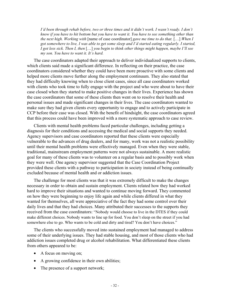*I'd been through rehab before, two or three times and it didn't work. I wasn't ready. I don't know if you have to hit bottom but you have to want it. You have to see something other than the next high. Working with* [name of case coordinator] *gave me time to do that.* […] *When I got somewhere to live, I was able to get some sleep and I'd started eating regularly. I started, I got less sick. Then I, then* […] *you begin to think other things might happen, maybe I'll see my son. You have to want it. It's hard.* 

The case coordinators adapted their approach to deliver individualized supports to clients, which clients said made a significant difference. In reflecting on their practice, the case coordinators considered whether they could have been more proactive with some clients and helped more clients move further along the employment continuum. They also stated that they had difficulty knowing when to close client cases, since all case coordinators worked with clients who took time to fully engage with the project and who were about to have their case closed when they started to make positive changes in their lives. Experience has shown the case coordinators that some of these clients then went on to resolve their health and personal issues and made significant changes in their lives. The case coordinators wanted to make sure they had given clients every opportunity to engage and to actively participate in CCP before their case was closed. With the benefit of hindsight, the case coordinators agreed that this process could have been improved with a more systematic approach to case review.

Clients with mental health problems faced particular challenges, including getting a diagnosis for their conditions and accessing the medical and social supports they needed. Agency supervisors and case coordinators reported that these clients were especially vulnerable to the advances of drug dealers, and for many, work was not a realistic possibility until their mental health problems were effectively managed. Even when they were stable, traditional, mainstream employment patterns were not always sustainable. A more realistic goal for many of these clients was to volunteer on a regular basis and to possibly work when they were well. One agency supervisor suggested that the Case Coordination Project provided these clients with a pathway to participation in society instead of being continually excluded because of mental health and or addiction issues.

The challenge for most clients was that it was extremely difficult to make the changes necessary in order to obtain and sustain employment. Clients related how they had worked hard to improve their situations and wanted to continue moving forward. They commented on how they were beginning to enjoy life again and while clients differed in what they wanted for themselves, all were appreciative of the fact they had some control over their daily lives and that they had choices. Many attributed their successes to the supports they received from the case coordinators: "Nobody would choose to live in the DTES if they could make different choices. Nobody wants to line up for food. You don't sleep on the street if you had somewhere else to go. Who wants to be cold and dirty and tired? You don't have choices."

The clients who successfully moved into sustained employment had managed to address some of their underlying issues. They had stable housing, and most of those clients who had addiction issues completed drug or alcohol rehabilitation. What differentiated these clients from others appeared to be:

- A focus on moving on;
- A growing confidence in their own abilities;
- The presence of a support network;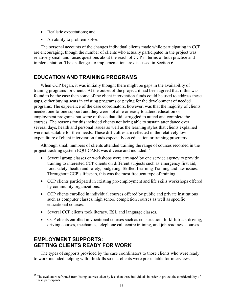- Realistic expectations; and
- An ability to problem-solve.

The personal accounts of the changes individual clients made while participating in CCP are encouraging, though the number of clients who actually participated in the project was relatively small and raises questions about the reach of CCP in terms of both practice and implementation. The challenges to implementation are discussed in Section 6.

## **EDUCATION AND TRAINING PROGRAMS**

When CCP began, it was initially thought there might be gaps in the availability of training programs for clients. At the outset of the project, it had been agreed that if this was found to be the case then some of the client intervention funds could be used to address these gaps, either buying seats in existing programs or paying for the development of needed programs. The experience of the case coordinators, however, was that the majority of clients needed one-to-one support and they were not able or ready to attend education or employment programs but some of those that did, struggled to attend and complete the courses. The reasons for this included clients not being able to sustain attendance over several days, health and personal issues as well as the learning styles that clients explained were not suitable for their needs. These difficulties are reflected in the relatively low expenditure of client intervention funds especially on education or training programs.

Although small numbers of clients attended training the range of courses recorded in the project tracking system EQUICARE was diverse and included:<sup>17</sup>

- Several group classes or workshops were arranged by one service agency to provide training to interested CCP clients on different subjects such as emergency first aid, food safety, health and safety, budgeting, Skilled Learning Training and law issues. Throughout CCP's lifespan, this was the most frequent type of training.
- CCP clients participated in existing pre-employment and life skills workshops offered by community organizations.
- CCP clients enrolled in individual courses offered by public and private institutions such as computer classes, high school completion courses as well as specific educational courses.
- Several CCP clients took literacy, ESL and language classes.
- CCP clients enrolled in vocational courses such as construction, forklift truck driving, driving courses, mechanics, telephone call centre training, and job readiness courses

## **EMPLOYMENT SUPPORTS: GETTING CLIENTS READY FOR WORK**

1

The types of supports provided by the case coordinators to those clients who were ready to work included helping with life skills so that clients were presentable for interviews,

<sup>&</sup>lt;sup>17</sup> The evaluators refrained from listing courses taken by less than three individuals in order to protect the confidentiality of these participants.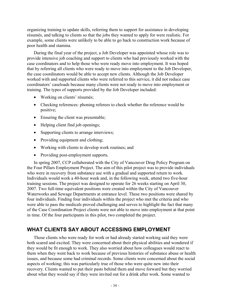organizing training to update skills, referring them to support for assistance in developing résumés, and talking to clients so that the jobs they wanted to apply for were realistic. For example, some clients were unlikely to be able to go back to construction work because of poor health and stamina.

During the final year of the project, a Job Developer was appointed whose role was to provide intensive job coaching and support to clients who had previously worked with the case coordinators and to help those who were ready move into employment. It was hoped that by referring all clients who were ready to move into employment to the Job Developer, the case coordinators would be able to accept new clients. Although the Job Developer worked with and supported clients who were referred to this service, it did not reduce case coordinators' caseloads because many clients were not ready to move into employment or training. The types of supports provided by the Job Developer included:

- Working on clients' résumés;
- Checking references: phoning referees to check whether the reference would be positive;
- Ensuring the client was presentable;
- Helping client find job openings;
- Supporting clients to arrange interviews;
- Providing equipment and clothing;
- Working with clients to develop work routines; and
- Providing post-employment supports.

In spring 2007, CCP collaborated with the City of Vancouver Drug Policy Program on the Four Pillars Employment Project. The aim of this pilot project was to provide individuals who were in recovery from substance use with a gradual and supported return to work. Individuals would work a 40-hour week and, in the following week, attend two five-hour training sessions. The project was designed to operate for 26 weeks starting on April 30, 2007. Two full-time equivalent positions were created within the City of Vancouver Waterworks and Sewage Departments at entrance level. These two positions were shared by four individuals. Finding four individuals within the project who met the criteria and who were able to pass the medicals proved challenging and serves to highlight the fact that many of the Case Coordination Project clients were not able to move into employment at that point in time. Of the four participants in this pilot, two completed the project.

### **WHAT CLIENTS SAY ABOUT ACCESSING EMPLOYMENT**

Those clients who were ready for work or had already started working said they were both scared and excited. They were concerned about their physical abilities and wondered if they would be fit enough to work. They also worried about how colleagues would react to them when they went back to work because of previous histories of substance abuse or health issues, and because some had criminal records. Some clients were concerned about the social aspects of working; this was particularly true of those who were quite new into their recovery. Clients wanted to put their pasts behind them and move forward but they worried about what they would say if they were invited out for a drink after work. Some wanted to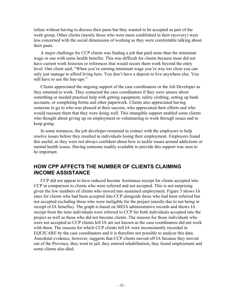refuse without having to discuss their pasts but they wanted to be accepted as part of the work group. Other clients (mostly those who were more established in their recovery) were less concerned with the social dimensions of working as they were comfortable talking about their pasts.

A major challenge for CCP clients was finding a job that paid more than the minimum wage or one with some health benefits. This was difficult for clients because most did not have current work histories or references that would secure them work beyond the entry level. One client said, "When you're earning minimum wage you're way too close you can only just manage to afford living here. You don't have a deposit to live anywhere else. You still have to use the line-ups."

Clients appreciated the ongoing support of the case coordinators or the Job Developer as they returned to work. They contacted the case coordinators if they were unsure about something or needed practical help with getting equipment, safety clothing, setting up bank accounts, or completing forms and other paperwork. Clients also appreciated having someone to go to who was pleased at their success, who appreciated their efforts and who would reassure them that they were doing well. This intangible support enabled some clients who thought about giving up on employment or volunteering to work through issues and to keep going.

In some instances, the job developer remained in contact with the employers to help resolve issues before they resulted in individuals losing their employment. Employers found this useful, as they were not always confident about how to tackle issues around addictions or mental health issues. Having someone readily available to provide this support was seen to be important.

## **HOW CPP AFFECTS THE NUMBER OF CLIENTS CLAIMING INCOME ASSISTANCE**

CCP did not appear to have reduced Income Assistance receipt for clients accepted into CCP in comparison to clients who were referred and not accepted. This is not surprising given the low numbers of clients who moved into sustained employment. Figure 5 shows IA rates for clients who had been accepted into CCP alongside those who had been referred but not accepted excluding those who were ineligible for the project (mostly due to not being in receipt of IA benefits). The graph is based on MEIA administrative records and shows IA receipt from the time individuals were referred to CCP for both individuals accepted into the project as well as those who did not become clients. The reasons for those individuals who were not accepted as CCP clients left IA are not known as the case coordinators did not work with them. The reasons for which CCP clients left IA were inconsistently recorded in EQUICARE by the case coordinators and it is therefore not possible to analyze this data. Anecdotal evidence, however, suggests that CCP clients moved off IA because they moved out of the Province, they went to jail, they entered rehabilitation, they found employment and some clients also died.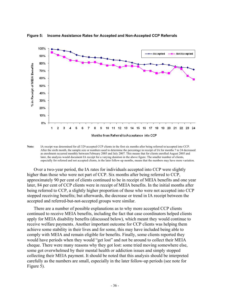

**Figure 5: Income Assistance Rates for Accepted and Non-Accepted CCP Referrals** 

**Note:** IA receipt was determined for all 329 accepted CCP clients in the first six months after being referred to/accepted into CCP. After the sixth month, the sample size or numbers used to determine the percentage in receipt of IA for months 7 to 24 decreased as enrolment occurred monthly between February 2005 and July 2007. This means that for clients enrolled August 2005 and later, the analysis would document IA receipt for a varying duration in the above figure. The smaller number of clients, especially for referred and not accepted clients, in the later follow-up months, means that the numbers may have more variation.

Over a two-year period, the IA rates for individuals accepted into CCP were slightly higher than those who were not part of CCP. Six months after being referred to CCP, approximately 90 per cent of clients continued to be in receipt of MEIA benefits and one year later, 84 per cent of CCP clients were in receipt of MEIA benefits. In the initial months after being referred to CCP, a slightly higher proportion of those who were not accepted into CCP stopped receiving benefits; but afterwards, the decrease or trend in IA receipt between the accepted and referred-but-not-accepted groups were similar.

There are a number of possible explanations as to why more accepted CCP clients continued to receive MEIA benefits, including the fact that case coordinators helped clients apply for MEIA disability benefits (discussed below), which meant they would continue to receive welfare payments. Another important outcome for CCP clients was helping them achieve some stability in their lives and for some, this may have included being able to comply with MEIA and remain eligible for benefits. Finally, some clients reported they would have periods when they would "get lost" and not be around to collect their MEIA cheque. There were many reasons why they got lost: some tried moving somewhere else, some got overwhelmed by their mental health or addiction issues and simply stopped collecting their MEIA payment. It should be noted that this analysis should be interpreted carefully as the numbers are small, especially in the later follow-up periods (see note for Figure 5).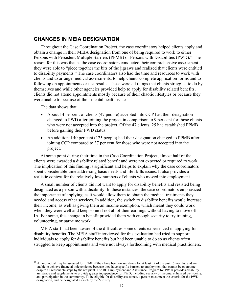## **CHANGES IN MEIA DESIGNATION**

Throughout the Case Coordination Project, the case coordinators helped clients apply and obtain a change in their MEIA designation from one of being required to work to either Persons with Persistent Multiple Barriers (PPMB) or Persons with Disabilities (PWD).<sup>18</sup> The reason for this was that as the case coordinators conducted their comprehensive assessment they were able to "piece together the bits of the jigsaws and realized that clients were entitled to disability payments." The case coordinators also had the time and resources to work with clients and to arrange medical assessments, to help clients complete application forms and to follow up on appointments or test results. These were all things that clients struggled to do by themselves and while other agencies provided help to apply for disability related benefits, clients did not attend appointments mostly because of their chaotic lifestyles or because they were unable to because of their mental health issues.

The data shows that:

1

- About 14 per cent of clients (47 people) accepted into CCP had their designation changed to PWD after joining the project in comparison to 9 per cent for those clients who were not accepted into the project. Of the 47 clients, 25 had established PPMB before gaining their PWD status.
- An additional 40 per cent (125 people) had their designation changed to PPMB after joining CCP compared to 37 per cent for those who were not accepted into the project.

At some point during their time in the Case Coordination Project, almost half of the clients were awarded a disability related benefit and were not expected or required to work. The implication of this finding is significant and helps to explain why the case coordinators spent considerable time addressing basic needs and life skills issues. It also provides a realistic context for the relatively low numbers of clients who moved into employment.

A small number of clients did not want to apply for disability benefits and resisted being designated as a person with a disability. In these instances, the case coordinators emphasized the importance of applying, as it would allow them to obtain the medical treatments they needed and access other services. In addition, the switch to disability benefits would increase their income, as well as giving them an income exemption, which meant they could work when they were well and keep some if not all of their earnings without having to move off IA. For some, this change in benefit provided them with enough security to try training, volunteering, or part-time work.

MEIA staff had been aware of the difficulties some clients experienced in applying for disability benefits. The MEIA staff interviewed for this evaluation had tried to support individuals to apply for disability benefits but had been unable to do so as clients often struggled to keep appointments and were not always forthcoming with medical practitioners.

 $18$  An individual may be assessed for PPMB if they have been on assistance for at least 12 of the past 15 months, and are unable to achieve financial independence because they have specific barriers to employment that cannot be overcome despite all reasonable steps by the recipient. The BC Employment and Assistance Program for PW D provides disability assistance and supplements to provide greater independence for PWD, including security of income, enhanced well-being, and participation in the community. To be eligible for disability assistance, a person must meet the criteria for the PWD designation, and be designated as such by the Ministry.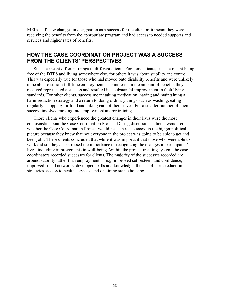MEIA staff saw changes in designation as a success for the client as it meant they were receiving the benefits from the appropriate program and had access to needed supports and services and higher rates of benefits.

## **HOW THE CASE COORDINATION PROJECT WAS A SUCCESS FROM THE CLIENTS' PERSPECTIVES**

Success meant different things to different clients. For some clients, success meant being free of the DTES and living somewhere else, for others it was about stability and control. This was especially true for those who had moved onto disability benefits and were unlikely to be able to sustain full-time employment. The increase in the amount of benefits they received represented a success and resulted in a substantial improvement in their living standards. For other clients, success meant taking medication, having and maintaining a harm-reduction strategy and a return to doing ordinary things such as washing, eating regularly, shopping for food and taking care of themselves. For a smaller number of clients, success involved moving into employment and/or training.

Those clients who experienced the greatest changes in their lives were the most enthusiastic about the Case Coordination Project. During discussions, clients wondered whether the Case Coordination Project would be seen as a success in the bigger political picture because they knew that not everyone in the project was going to be able to get and keep jobs. These clients concluded that while it was important that those who were able to work did so, they also stressed the importance of recognizing the changes in participants' lives, including improvements in well-being. Within the project tracking system, the case coordinators recorded successes for clients. The majority of the successes recorded are around stability rather than employment — e.g. improved self-esteem and confidence, improved social networks, developed skills and knowledge, the use of harm-reduction strategies, access to health services, and obtaining stable housing.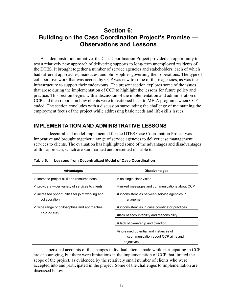## **Section 6: Building on the Case Coordination Project's Promise — Observations and Lessons**

As a demonstration initiative, the Case Coordination Project provided an opportunity to test a relatively new approach of delivering supports to long-term unemployed residents of the DTES. It brought together a number of service agencies and stakeholders, each of which had different approaches, mandates, and philosophies governing their operations. The type of collaborative work that was needed by CCP was new to some of these agencies, as was the infrastructure to support their endeavours. The present section explores some of the issues that arose during the implementation of CCP to highlight the lessons for future policy and practice. This section begins with a discussion of the implementation and administration of CCP and then reports on how clients were transitioned back to MEIA programs when CCP ended. The section concludes with a discussion surrounding the challenge of maintaining the employment focus of the project while addressing basic needs and life-skills issues.

## **IMPLEMENTATION AND ADMINISTRATIVE LESSONS**

The decentralized model implemented for the DTES Case Coordination Project was innovative and brought together a range of service agencies to deliver case management services to clients. The evaluation has highlighted some of the advantages and disadvantages of this approach, which are summarized and presented in Table 6.

| <b>Advantages</b>                                                           | <b>Disadvantages</b>                                         |
|-----------------------------------------------------------------------------|--------------------------------------------------------------|
| $\checkmark$ increase project skill and resource base                       | * no single clear vision                                     |
| $\checkmark$ provide a wider variety of services to clients                 | * mixed messages and communications about CCP                |
| $\checkmark$ increased opportunities for joint working and<br>collaboration | * inconsistencies between service agencies in<br>management  |
| $\checkmark$ wide range of philosophies and approaches                      | * inconsistencies in case coordinator practices              |
| incorporated                                                                | <b>Example 12</b> klack of accountability and responsibility |
|                                                                             | * lack of ownership and direction                            |
|                                                                             | *increased potential and instances of                        |
|                                                                             | miscommunication about CCP aims and                          |
|                                                                             | objectives                                                   |

**Table 6: Lessons from Decentralized Model of Case Coordination** 

The personal accounts of the changes individual clients made while participating in CCP are encouraging, but there were limitations in the implementation of CCP that limited the scope of the project, as evidenced by the relatively small number of clients who were accepted into and participated in the project. Some of the challenges to implementation are discussed below.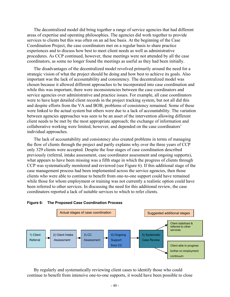The decentralized model did bring together a range of service agencies that had different areas of expertise and operating philosophies. The agencies did work together to provide services to clients but this was often on an ad hoc basis. At the beginning of the Case Coordination Project, the case coordinators met on a regular basis to share practice experiences and to discuss how best to meet client needs as well as administrative procedures. As CCP continued, however, these meetings were not attended by all the case coordinators, as some no longer found the meetings as useful as they had been initially.

The disadvantages of the decentralized model revolved primarily around the need for a strategic vision of what the project should be doing and how best to achieve its goals. Also important was the lack of accountability and consistency. The decentralized model was chosen because it allowed different approaches to be incorporated into case coordination and while this was important, there were inconsistencies between the case coordinators and service agencies over administrative and practice issues. For example, all case coordinators were to have kept detailed client records in the project tracking system, but not all did this and despite efforts from the VA and BOB, problems of consistency remained. Some of these were linked to the actual system but others were due to a lack of accountability. The variation between agencies approaches was seen to be an asset of the intervention allowing different client needs to be met by the most appropriate approach; the exchange of information and collaborative working were limited, however, and depended on the case coordinators' individual approaches.

The lack of accountability and consistency also created problems in terms of managing the flow of clients through the project and partly explains why over the three years of CCP only 329 clients were accepted. Despite the four stages of case coordination described previously (referral, intake assessment, case coordinator assessment and ongoing supports), what appears to have been missing was a fifth stage in which the progress of clients through CCP was systematically monitored and reviewed (see Figure 6). If this additional stage of the case management process had been implemented across the service agencies, then those clients who were able to continue to benefit from one-to-one support could have remained while those for whom employment or training was not currently a realistic option could have been referred to other services. In discussing the need for this additional review, the case coordinators reported a lack of suitable services to which to refer clients.



#### **Figure 6: The Proposed Case Coordination Process**

By regularly and systematically reviewing client cases to identify those who could continue to benefit from intensive one-to-one supports, it would have been possible to close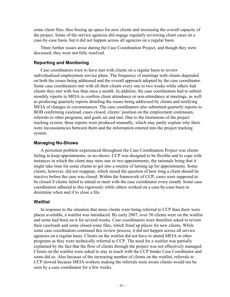some client files, thus freeing up space for new clients and increasing the overall capacity of the project. Some of the service agencies did engage regularly reviewing client cases on a case-by-case basis, but it did not happen across all agencies on a regular basis.

Three further issues arose during the Case Coordination Project, and though they were discussed, they were not fully resolved.

#### **Reporting and Monitoring**

Case coordinators were to have met with clients on a regular basis to review individualized employment service plans. The frequency of meetings with clients depended on both the issues being addressed and the overall approach adopted by the case coordinator. Some case coordinators met with all their clients every one to two weeks while others had clients they met with less than once a month. In addition, the case coordinators had to submit monthly reports to MEIA to confirm client attendance or non-attendance at meetings, as well as producing quarterly reports detailing the issues being addressed by clients and notifying MEIA of changes in circumstances. The case coordinators also submitted quarterly reports to BOB confirming caseload, cases closed, clients' position on the employment continuum, referrals to other programs, and goals set and met. Due to the limitations of the project tracking system, these reports were produced manually, which may partly explain why there were inconsistencies between them and the information entered into the project tracking system.

#### **Managing No-Shows**

A persistent problem experienced throughout the Case Coordination Project was clients failing to keep appointments, or no-shows. CCP was designed to be flexible and to cope with instances in which the client may miss one or two appointments, the rationale being that it might take time for some clients to get into a routine of turning up for appointments. Some clients, however, did not reappear, which raised the question of how long a client should be inactive before the case was closed. Within the framework of CCP, cases were supposed to be closed if clients failed to attend or meet with the case coordinator every month. Some case coordinators adhered to this rigorously while others worked on a case-by-case basis to determine when and if to close a file.

#### **Waitlist**

In response to the situation that more clients were being referred to CCP than there were places available, a waitlist was introduced. By early 2007, over 50 clients were on the waitlist and some had been on it for several weeks. Case coordinators were therefore asked to review their caseloads and some closed some files, which freed up places for new clients. While some case coordinators continued this review process, it did not happen across all service agencies on a regular basis. Clients on the waitlist did not have to attend MEIA or other programs as they were technically referred to CCP. The need for a waitlist was partially explained by the fact that the flow of clients through the project was not effectively managed. Clients on the waitlist were asked to stay in touch with the CCP Intake Case Coordinator and some did so. Also because of the increasing number of clients on the waitlist, referrals to CCP slowed because MEIA workers making the referrals were aware clients would not be seen by a case coordinator for a few weeks.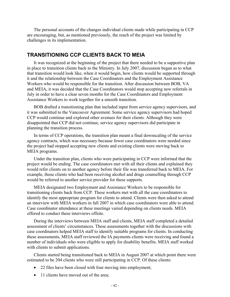The personal accounts of the changes individual clients made while participating in CCP are encouraging, but, as mentioned previously, the reach of the project was limited by challenges in its implementation.

### **TRANSITIONING CCP CLIENTS BACK TO MEIA**

It was recognized at the beginning of the project that there needed to be a supportive plan in place to transition clients back to the Ministry. In July 2007, discussion began as to what that transition would look like, when it would begin, how clients would be supported through it and the relationship between the Case Coordinators and the Employment Assistance Workers who would be responsible for the transition. After discussion between BOB, VA and MEIA, it was decided that the Case Coordinators would stop accepting new referrals in July in order to have a clear seven months for the Case Coordinators and Employment Assistance Workers to work together for a smooth transition.

BOB drafted a transitioning plan that included input from service agency supervisors, and it was submitted to the Vancouver Agreement. Some service agency supervisors had hoped CCP would continue and explored other avenues for their clients. Although they were disappointed that CCP did not continue, service agency supervisors did participate in planning the transition process.

In terms of CCP operations, the transition plan meant a final downscaling of the service agency contracts, which was necessary because fewer case coordinators were needed since the project had stopped accepting new clients and existing clients were moving back to MEIA programs.

Under the transition plan, clients who were participating in CCP were informed that the project would be ending. The case coordinators met with all their clients and explained they would refer clients on to another agency before their file was transferred back to MEIA. For example, those clients who had been receiving alcohol and drugs counselling through CCP would be referred to another service provider for these supports.

MEIA designated two Employment and Assistance Workers to be responsible for transitioning clients back from CCP. These workers met with all the case coordinators to identify the most appropriate program for clients to attend. Clients were then asked to attend an interview with MEIA workers in fall 2007 in which case coordinators were able to attend. Case coordinator attendance at these meetings varied depending on clients needs. MEIA offered to conduct these interviews offsite.

During the interviews between MEIA staff and clients, MEIA staff completed a detailed assessment of clients' circumstances. These assessments together with the discussions with case coordinators helped MEIA staff to identify suitable programs for clients. In conducting these assessments, MEIA staff reviewed the IA payments clients were receiving and found a number of individuals who were eligible to apply for disability benefits. MEIA staff worked with clients to submit applications.

Clients started being transitioned back to MEIA in August 2007 at which point there were estimated to be 204 clients who were still participating in CCP. Of these clients:

- 22 files have been closed with four moving into employment;
- 11 clients have moved out of the area: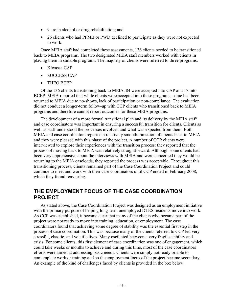- 9 are in alcohol or drug rehabilitation; and
- 26 clients who had PPMB or PWD declined to participate as they were not expected to work.

Once MEIA staff had completed these assessments, 136 clients needed to be transitioned back to MEIA programs. The two designated MEIA staff members worked with clients in placing them in suitable programs. The majority of clients were referred to three programs:

- Kiwassa CAP
- SUCCESS CAP
- THEO BCEP

Of the 136 clients transitioning back to MEIA, 84 were accepted into CAP and 17 into BCEP. MEIA reported that while clients were accepted into these programs, some had been returned to MEIA due to no-shows, lack of participation or non-compliance. The evaluation did not conduct a longer-term follow-up with CCP clients who transitioned back to MEIA programs and therefore cannot report outcomes for these MEIA programs.

The development of a more formal transitional plan and its delivery by the MEIA staff and case coordinators was important in ensuring a successful transition for clients. Clients as well as staff understood the processes involved and what was expected from them. Both MEIA and case coordinators reported a relatively smooth transition of clients back to MEIA and they were pleased with this phase of the project. A number of CCP clients were interviewed to explore their experiences with the transition process: they reported that the process of moving back to MEIA was relatively straightforward. Although some clients had been very apprehensive about the interviews with MEIA and were concerned they would be returning to the MEIA caseloads, they reported the process was acceptable. Throughout this transitioning process, clients remained part of the Case Coordination Project and could continue to meet and work with their case coordinators until CCP ended in February 2008, which they found reassuring.

## **THE EMPLOYMENT FOCUS OF THE CASE COORDINATION PROJECT**

As stated above, the Case Coordination Project was designed as an employment initiative with the primary purpose of helping long-term unemployed DTES residents move into work. As CCP was established, it became clear that many of the clients who became part of the project were not ready to move into training, education, or employment. The case coordinators found that achieving some degree of stability was the essential first step in the process of case coordination. This was because many of the clients referred to CCP led very stressful, chaotic, and volatile lives. Many oscillated between a very fragile stability and crisis. For some clients, this first element of case coordination was one of engagement, which could take weeks or months to achieve and during this time, most of the case coordinators efforts were aimed at addressing basic needs. Clients were simply not ready or able to contemplate work or training and so the employment focus of the project became secondary. An example of the kind of challenges faced by clients is provided in the box below.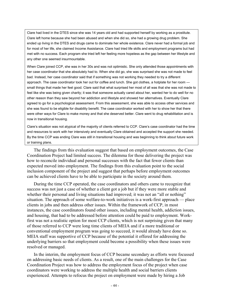Clare had lived in the DTES since she was 14 years old and had supported herself by working as a prostitute. Clare left home because she had been abused and when she did so, she had a growing drug problem. She ended up living in the DTES and drugs came to dominate her whole existence. Clare never had a formal job and for most of her life, she claimed Income Assistance. Clare had tried life skills and employment programs but had met with no success. Each program she tried left her feeling more hopeless as the gap between her lifestyle and any other one seemed insurmountable.

When Clare joined CCP, she was in her 30s and was not optimistic. She only attended those appointments with her case coordinator that she absolutely had to. When she did go, she was surprised she was not made to feel bad. Instead, her case coordinator said that if something was not working they needed to try a different approach. The case coordinator took her out for coffee and lunch. She got clothes, a hotplate for her room small things that made her feel good. Clare said that what surprised her most of all was that she was not made to feel like she was being given charity; it was that someone actually cared about her, wanted her to do well for no other reason than they saw beyond her addiction and lifestyle and showed her alternatives. Eventually Clare agreed to go for a psychological assessment. From this assessment, she was able to access other services and she was found to be eligible for disability benefit. The case coordinator worked with her to show her that there were other ways for Clare to make money and that she deserved better. Clare went to drug rehabilitation and is now in transitional housing.

Clare's situation was not atypical of the majority of clients referred to CCP. Clare's case coordinator had the time and resources to work with her intensively and eventually Clare obtained and accepted the support she needed. By the time CCP was ending Clare was still in transitional housing and was beginning to think about future work or training plans.

The findings from this evaluation suggest that based on employment outcomes, the Case Coordination Project had limited success. The dilemma for those delivering the project was how to reconcile individual and personal successes with the fact that fewer clients than expected moved into employment. The findings from this evaluation point to the social inclusion component of the project and suggest that perhaps before employment outcomes can be achieved clients have to be able to participate in the society around them.

During the time CCP operated, the case coordinators and others came to recognize that success was not just a case of whether a client got a job but if they were more stable and whether their personal and living situations had improved; it was not an "all or nothing" situation. The approach of some welfare-to-work initiatives is a work-first approach — place clients in jobs and then address other issues. Within the framework of CCP, in most instances, the case coordinators found other issues, including mental health, addiction issues, and housing, that had to be addressed before attention could be paid to employment. Workfirst was not a realistic option for most CCP clients, which is not surprising given that many of those referred to CCP were long time clients of MEIA and if a more traditional or conventional employment program was going to succeed, it would already have done so. MEIA staff was supportive of CCP because of the potential it offered for addressing the underlying barriers so that employment could become a possibility when these issues were resolved or managed.

In the interim, the employment focus of CCP became secondary as efforts were focussed on addressing basic needs of clients. As a result, one of the main challenges for the Case Coordination Project was how to address the employment focus of the project when case coordinators were working to address the multiple health and social barriers clients experienced. Attempts to refocus the project on employment were made by hiring a Job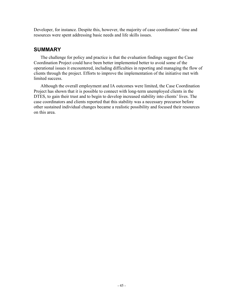Developer, for instance. Despite this, however, the majority of case coordinators' time and resources were spent addressing basic needs and life skills issues.

## **SUMMARY**

The challenge for policy and practice is that the evaluation findings suggest the Case Coordination Project could have been better implemented better to avoid some of the operational issues it encountered, including difficulties in reporting and managing the flow of clients through the project. Efforts to improve the implementation of the initiative met with limited success.

Although the overall employment and IA outcomes were limited, the Case Coordination Project has shown that it is possible to connect with long-term unemployed clients in the DTES, to gain their trust and to begin to develop increased stability into clients' lives. The case coordinators and clients reported that this stability was a necessary precursor before other sustained individual changes became a realistic possibility and focused their resources on this area.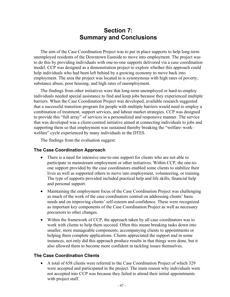## **Section 7: Summary and Conclusions**

The aim of the Case Coordination Project was to put in place supports to help long-term unemployed residents of the Downtown Eastside to move into employment. The project was to do this by providing individuals with one-to-one supports delivered via a case coordination model. CCP was designed as a demonstration project to explore whether this approach could help individuals who had been left behind by a growing economy to move back into employment. The area the project was located in is synonymous with high rates of poverty, substance abuse, poor housing, and high rates of unemployment.

The findings from other initiatives were that long-term unemployed or hard-to-employ individuals needed special assistance to find and keep jobs because they experienced multiple barriers. When the Case Coordination Project was developed, available research suggested that a successful transition program for people with multiple barriers would need to employ a combination of treatment, support services, and labour market strategies. CCP was designed to provide this "full array" of services in a personalized and responsive manner. The service that was developed was a client-centred initiative aimed at connecting individuals to jobs and supporting them so that employment was sustained thereby breaking the "welfare–work– welfare" cycle experienced by many individuals in the DTES.

The findings from the evaluation suggest:

### **The Case Coordination Approach**

- There is a need for intensive one-to-one support for clients who are not able to participate in mainstream employment or other initiatives. Within CCP, the one-toone support provided by the case coordinators enabled some clients to stabilize their lives as well as supported others to move into employment, volunteering, or training. The type of supports provided included practical help and life skills, financial help and personal support.
- Maintaining the employment focus of the Case Coordination Project was challenging as much of the work of the case coordinators centred on addressing clients' basic needs and on improving clients' self-esteem and confidence. These were recognized as important key components of the Case Coordination Project as well as necessary precursors to other changes.
- Within the framework of CCP, the approach taken by all case coordinators was to work with clients to help them succeed. Often this meant breaking tasks down into smaller, more manageable components, accompanying clients to appointments or helping them complete applications. Clients appreciated the support and in some instances, not only did this approach produce results in that things were done, but it also allowed them to become more confident in tackling issues themselves.

#### **The Case Coordination Clients**

• A total of 658 clients were referred to the Case Coordination Project of which 329 were accepted and participated in the project. The main reason why individuals were not accepted into CCP was because they failed to attend their initial appointments with project staff.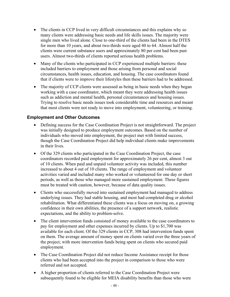- The clients in CCP lived in very difficult circumstances and this explains why so many clients were addressing basic needs and life skills issues. The majority were single men who lived alone. Close to one-third of the clients had been in the DTES for more than 10 years, and about two-thirds were aged 40 to 64. Almost half the clients were current substance users and approximately 80 per cent had been past users. Almost two-thirds of clients reported serious health problems.
- Many of the clients who participated in CCP experienced multiple barriers: these included barriers to employment and those arising from personal and social circumstances, health issues, education, and housing. The case coordinators found that if clients were to improve their lifestyles then these barriers had to be addressed.
- The majority of CCP clients were assessed as being in basic needs when they began working with a case coordinator, which meant they were addressing health issues such as addiction and mental health, personal circumstances and housing issues. Trying to resolve basic needs issues took considerable time and resources and meant that most clients were not ready to move into employment, volunteering, or training.

### **Employment and Other Outcomes**

- Defining success for the Case Coordination Project is not straightforward. The project was initially designed to produce employment outcomes. Based on the number of individuals who moved into employment, the project met with limited success, though the Case Coordination Project did help individual clients make improvements in their lives.
- Of the 329 clients who participated in the Case Coordination Project, the case coordinators recorded paid employment for approximately 26 per cent, almost 3 out of 10 clients. When paid and unpaid volunteer activity was included, this number increased to about 4 out of 10 clients. The range of employment and volunteer activities varied and included many who worked or volunteered for one day or short periods, as well as those who managed more sustained employment. These figures must be treated with caution, however, because of data quality issues.
- Clients who successfully moved into sustained employment had managed to address underlying issues. They had stable housing, and most had completed drug or alcohol rehabilitation. What differentiated these clients was a focus on moving on, a growing confidence in their own abilities, the presence of a support network, realistic expectations, and the ability to problem-solve.
- The client intervention funds consisted of money available to the case coordinators to pay for employment and other expenses incurred by clients. Up to \$1,700 was available for each client. Of the 329 clients in CCP, 308 had intervention funds spent on them. The average amount of money spent on clients varied over the three years of the project, with more intervention funds being spent on clients who secured paid employment.
- The Case Coordination Project did not reduce Income Assistance receipt for those clients who had been accepted into the project in comparison to those who were referred and not accepted.
- A higher proportion of clients referred to the Case Coordination Project were subsequently found to be eligible for MEIA disability benefits than those who were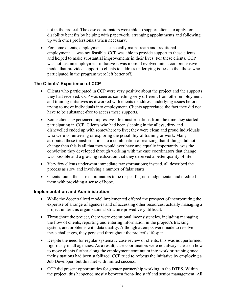not in the project. The case coordinators were able to support clients to apply for disability benefits by helping with paperwork, arranging appointments and following up with other professionals when necessary.

• For some clients, employment — especially mainstream and traditional employment — was not feasible. CCP was able to provide support to these clients and helped to make substantial improvements in their lives. For these clients, CCP was not just an employment initiative it was more: it evolved into a comprehensive model that provided support to clients to address underlying issues so that those who participated in the program were left better off.

### **The Clients' Experience of CCP**

- Clients who participated in CCP were very positive about the project and the supports they had received. CCP was seen as something very different from other employment and training initiatives as it worked with clients to address underlying issues before trying to move individuals into employment. Clients appreciated the fact they did not have to be substance-free to access these supports.
- Some clients experienced impressive life transformations from the time they started participating in CCP. Clients who had been sleeping in the alleys, dirty and dishevelled ended up with somewhere to live; they were clean and proud individuals who were volunteering or exploring the possibility of training or work. Many attributed these transformations to a combination of realizing that if things did not change then this is all that they would ever have and equally importantly, was the conviction they developed through working with the case coordinators that change was possible and a growing realization that they deserved a better quality of life.
- Very few clients underwent immediate transformations; instead, all described the process as slow and involving a number of false starts.
- Clients found the case coordinators to be respectful, non-judgemental and credited them with providing a sense of hope.

### **Implementation and Administration**

- While the decentralized model implemented offered the prospect of incorporating the expertise of a range of agencies and of accessing other resources, actually managing a project under this organizational structure proved very difficult.
- Throughout the project, there were operational inconsistencies, including managing the flow of clients, reporting and entering information in the project's tracking system, and problems with data quality. Although attempts were made to resolve these challenges, they persisted throughout the project's lifespan.
- Despite the need for regular systematic case review of clients, this was not performed rigorously in all agencies. As a result, case coordinators were not always clear on how to move clients further along the employment continuum into work or training once their situations had been stabilized. CCP tried to refocus the initiative by employing a Job Developer, but this met with limited success.
- CCP did present opportunities for greater partnership working in the DTES. Within the project, this happened mostly between front-line staff and senior management. All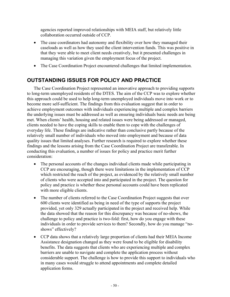agencies reported improved relationships with MEIA staff, but relatively little collaboration occurred outside of CCP.

- The case coordinators had autonomy and flexibility over how they managed their caseloads as well as how they used the client intervention funds. This was positive in that they were able to meet client needs creatively, but it presented challenges in managing this variation given the employment focus of the project.
- The Case Coordination Project encountered challenges that limited implementation.

## **OUTSTANDING ISSUES FOR POLICY AND PRACTICE**

The Case Coordination Project represented an innovative approach to providing supports to long-term unemployed residents of the DTES. The aim of the CCP was to explore whether this approach could be used to help long-term unemployed individuals move into work or to become more self-sufficient. The findings from this evaluation suggest that in order to achieve employment outcomes with individuals experiencing multiple and complex barriers the underlying issues must be addressed as well as ensuring individuals basic needs are being met. When clients' health, housing and related issues were being addressed or managed, clients needed to have the coping skills to enable them to cope with the challenges of everyday life. These findings are indicative rather than conclusive partly because of the relatively small number of individuals who moved into employment and because of data quality issues that limited analyses. Further research is required to explore whether these findings and the lessons arising from the Case Coordination Project are transferable. In conducting this evaluation, a number of issues for policy and practice merit further consideration:

- The personal accounts of the changes individual clients made while participating in CCP are encouraging, though there were limitations in the implementation of CCP which restricted the reach of the project, as evidenced by the relatively small number of clients who were accepted into and participated in the project. The question for policy and practice is whether these personal accounts could have been replicated with more eligible clients.
- The number of clients referred to the Case Coordination Project suggests that over 600 clients were identified as being in need of the type of supports the project provided, yet only 329 actually participated in the project and received help. While the data showed that the reason for this discrepancy was because of no-shows, the challenge to policy and practice is two-fold: first, how do you engage with these individuals in order to provide services to them? Secondly, how do you manage "noshows" effectively?
- CCP data shows that a relatively large proportion of clients had their MEIA Income Assistance designation changed as they were found to be eligible for disability benefits. The data suggests that clients who are experiencing multiple and complex barriers are unable to navigate and complete the application process without considerable support. The challenge is how to provide this support to individuals who in many cases would struggle to attend appointments and complete detailed application forms.